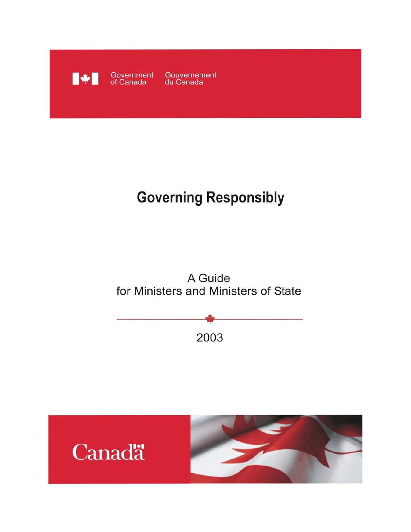

# **Governing Responsibly**





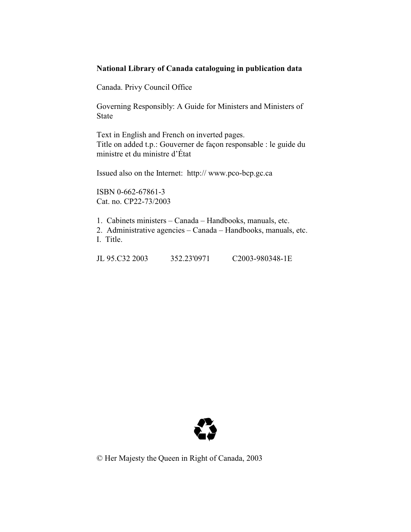### **National Library of Canada cataloguing in publication data**

Canada. Privy Council Office

Governing Responsibly: A Guide for Ministers and Ministers of State

Text in English and French on inverted pages. Title on added t.p.: Gouverner de façon responsable : le guide du ministre et du ministre d'État

Issued also on the Internet: http:// www.pco-bcp.gc.ca

ISBN 0-662-67861-3 Cat. no. CP22-73/2003

1. Cabinets ministers – Canada – Handbooks, manuals, etc.

2. Administrative agencies – Canada – Handbooks, manuals, etc. I. Title.

JL 95.C32 2003 352.23'0971 C2003-980348-1E



© Her Majesty the Queen in Right of Canada, 2003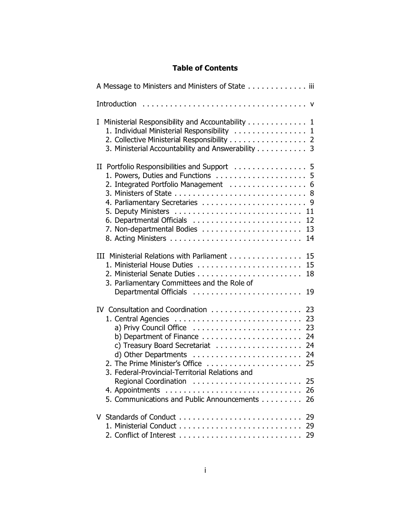### **Table of Contents**

| A Message to Ministers and Ministers of State iii                                                                                                                                                                                  |
|------------------------------------------------------------------------------------------------------------------------------------------------------------------------------------------------------------------------------------|
|                                                                                                                                                                                                                                    |
| Ministerial Responsibility and Accountability 1<br>L<br>1. Individual Ministerial Responsibility  1<br>2. Collective Ministerial Responsibility 2<br>3. Ministerial Accountability and Answerability 3                             |
| 2. Integrated Portfolio Management  6<br>12<br>13<br>14                                                                                                                                                                            |
| III Ministerial Relations with Parliament<br>15<br>1. Ministerial House Duties<br>15<br>18<br>3. Parliamentary Committees and the Role of<br>Departmental Officials<br>19                                                          |
| IV Consultation and Coordination<br>23<br>23<br>b) Department of Finance $\ldots \ldots \ldots \ldots \ldots \ldots$<br>-24<br>24<br>24<br>2. The Prime Minister's Office<br>25<br>3. Federal-Provincial-Territorial Relations and |
| 25<br>5. Communications and Public Announcements<br>26                                                                                                                                                                             |
|                                                                                                                                                                                                                                    |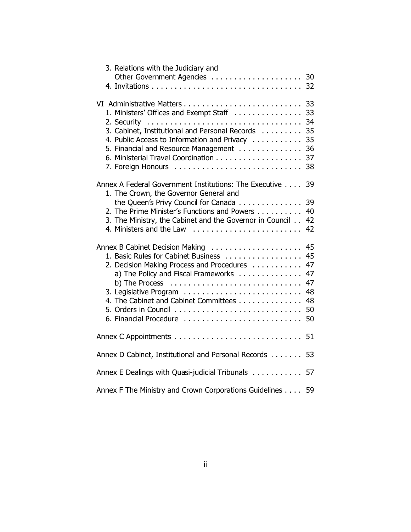| 3. Relations with the Judiciary and                                                                                                                                                                                                                                                                              |                                                    |
|------------------------------------------------------------------------------------------------------------------------------------------------------------------------------------------------------------------------------------------------------------------------------------------------------------------|----------------------------------------------------|
| Other Government Agencies                                                                                                                                                                                                                                                                                        | 30<br>32                                           |
|                                                                                                                                                                                                                                                                                                                  |                                                    |
| 1. Ministers' Offices and Exempt Staff<br>3. Cabinet, Institutional and Personal Records<br>4. Public Access to Information and Privacy<br>5. Financial and Resource Management                                                                                                                                  | 33<br>33<br>34<br>35<br>35<br>36<br>37             |
|                                                                                                                                                                                                                                                                                                                  | 38                                                 |
| Annex A Federal Government Institutions: The Executive                                                                                                                                                                                                                                                           | 39                                                 |
| 1. The Crown, the Governor General and<br>the Queen's Privy Council for Canada<br>2. The Prime Minister's Functions and Powers<br>3. The Ministry, the Cabinet and the Governor in Council<br>4. Ministers and the Law                                                                                           | 39<br>40<br>42<br>42                               |
| Annex B Cabinet Decision Making<br>1. Basic Rules for Cabinet Business<br>2. Decision Making Process and Procedures<br>a) The Policy and Fiscal Frameworks<br>b) The Process $\ldots \ldots \ldots \ldots \ldots \ldots \ldots \ldots \ldots$<br>4. The Cabinet and Cabinet Committees<br>6. Financial Procedure | 45<br>45<br>47<br>47<br>47<br>48<br>48<br>50<br>50 |
|                                                                                                                                                                                                                                                                                                                  | 51                                                 |
| Annex D Cabinet, Institutional and Personal Records                                                                                                                                                                                                                                                              | 53                                                 |
| Annex E Dealings with Quasi-judicial Tribunals                                                                                                                                                                                                                                                                   | 57                                                 |
| Annex F The Ministry and Crown Corporations Guidelines 59                                                                                                                                                                                                                                                        |                                                    |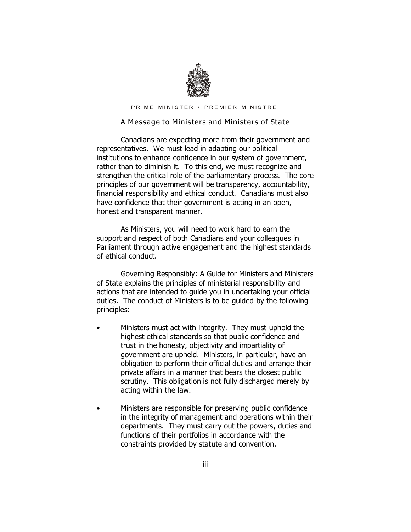

PRIME MINISTER · PREMIER MINISTRE

#### *A Message to Ministers and Ministers of State*

Canadians are expecting more from their government and representatives. We must lead in adapting our political institutions to enhance confidence in our system of government, rather than to diminish it. To this end, we must recognize and strengthen the critical role of the parliamentary process. The core principles of our government will be transparency, accountability, financial responsibility and ethical conduct. Canadians must also have confidence that their government is acting in an open, honest and transparent manner.

As Ministers, you will need to work hard to earn the support and respect of both Canadians and your colleagues in Parliament through active engagement and the highest standards of ethical conduct.

*Governing Responsibly: A Guide for Ministers and Ministers of State* explains the principles of ministerial responsibility and actions that are intended to guide you in undertaking your official duties. The conduct of Ministers is to be guided by the following principles:

- Ministers must act with integrity. They must uphold the highest ethical standards so that public confidence and trust in the honesty, objectivity and impartiality of government are upheld. Ministers, in particular, have an obligation to perform their official duties and arrange their private affairs in a manner that bears the closest public scrutiny. This obligation is not fully discharged merely by acting within the law.
- Ministers are responsible for preserving public confidence in the integrity of management and operations within their departments. They must carry out the powers, duties and functions of their portfolios in accordance with the constraints provided by statute and convention.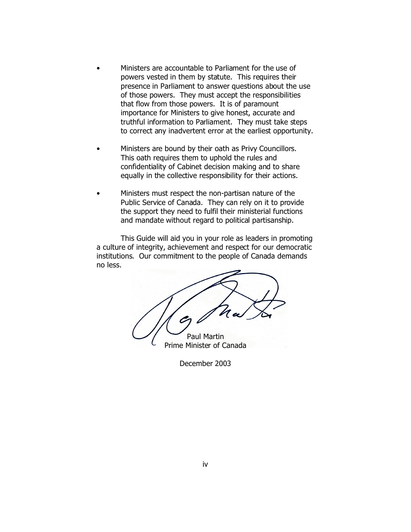- Ministers are accountable to Parliament for the use of powers vested in them by statute. This requires their presence in Parliament to answer questions about the use of those powers. They must accept the responsibilities that flow from those powers. It is of paramount importance for Ministers to give honest, accurate and truthful information to Parliament. They must take steps to correct any inadvertent error at the earliest opportunity.
- Ministers are bound by their oath as Privy Councillors. This oath requires them to uphold the rules and confidentiality of Cabinet decision making and to share equally in the collective responsibility for their actions.
- Ministers must respect the non-partisan nature of the Public Service of Canada. They can rely on it to provide the support they need to fulfil their ministerial functions and mandate without regard to political partisanship.

This *Guide* will aid you in your role as leaders in promoting a culture of integrity, achievement and respect for our democratic institutions. Our commitment to the people of Canada demands no less.

Paul Martin

Prime Minister of Canada

December 2003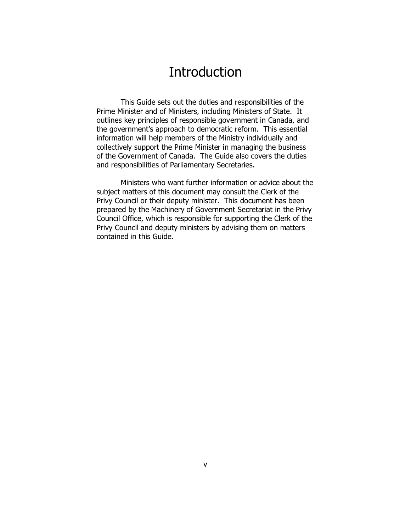## **Introduction**

This *Guide* sets out the duties and responsibilities of the Prime Minister and of Ministers, including Ministers of State. It outlines key principles of responsible government in Canada, and the government's approach to democratic reform. This essential information will help members of the Ministry individually and collectively support the Prime Minister in managing the business of the Government of Canada. The Guide also covers the duties and responsibilities of Parliamentary Secretaries.

Ministers who want further information or advice about the subject matters of this document may consult the Clerk of the Privy Council or their deputy minister. This document has been prepared by the Machinery of Government Secretariat in the Privy Council Office, which is responsible for supporting the Clerk of the Privy Council and deputy ministers by advising them on matters contained in this *Guide*.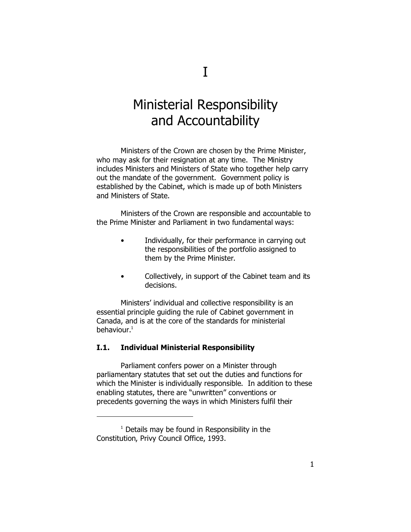## Ministerial Responsibility and Accountability

Ministers of the Crown are chosen by the Prime Minister, who may ask for their resignation at any time. The Ministry includes Ministers and Ministers of State who together help carry out the mandate of the government. Government policy is established by the Cabinet, which is made up of both Ministers and Ministers of State.

Ministers of the Crown are responsible and accountable to the Prime Minister and Parliament in two fundamental ways:

- Individually, for their performance in carrying out the responsibilities of the portfolio assigned to them by the Prime Minister.
- Collectively, in support of the Cabinet team and its decisions.

Ministers' individual and collective responsibility is an essential principle guiding the rule of Cabinet government in Canada, and is at the core of the standards for ministerial behaviour. $1$ 

#### **I.1. Individual Ministerial Responsibility**

Parliament confers power on a Minister through parliamentary statutes that set out the duties and functions for which the Minister is individually responsible. In addition to these enabling statutes, there are "unwritten" conventions or precedents governing the ways in which Ministers fulfil their

<sup>1</sup> Details may be found in *Responsibility in the Constitution*, Privy Council Office, 1993.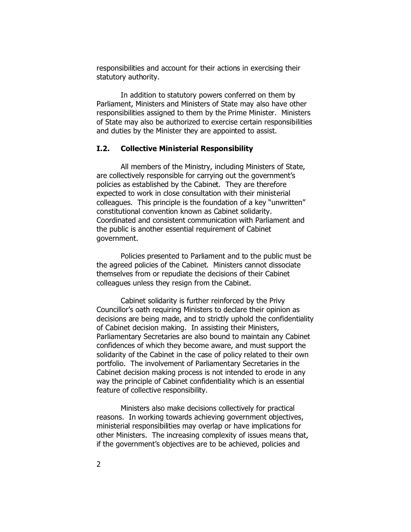responsibilities and account for their actions in exercising their statutory authority.

In addition to statutory powers conferred on them by Parliament, Ministers and Ministers of State may also have other responsibilities assigned to them by the Prime Minister. Ministers of State may also be authorized to exercise certain responsibilities and duties by the Minister they are appointed to assist.

### **I.2. Collective Ministerial Responsibility**

All members of the Ministry, including Ministers of State, are collectively responsible for carrying out the government's policies as established by the Cabinet. They are therefore expected to work in close consultation with their ministerial colleagues. This principle is the foundation of a key "unwritten" constitutional convention known as Cabinet solidarity. Coordinated and consistent communication with Parliament and the public is another essential requirement of Cabinet government.

Policies presented to Parliament and to the public must be the agreed policies of the Cabinet. Ministers cannot dissociate themselves from or repudiate the decisions of their Cabinet colleagues unless they resign from the Cabinet.

Cabinet solidarity is further reinforced by the Privy Councillor's oath requiring Ministers to declare their opinion as decisions are being made, and to strictly uphold the confidentiality of Cabinet decision making. In assisting their Ministers, Parliamentary Secretaries are also bound to maintain any Cabinet confidences of which they become aware, and must support the solidarity of the Cabinet in the case of policy related to their own portfolio. The involvement of Parliamentary Secretaries in the Cabinet decision making process is not intended to erode in any way the principle of Cabinet confidentiality which is an essential feature of collective responsibility.

Ministers also make decisions collectively for practical reasons. In working towards achieving government objectives, ministerial responsibilities may overlap or have implications for other Ministers. The increasing complexity of issues means that, if the government's objectives are to be achieved, policies and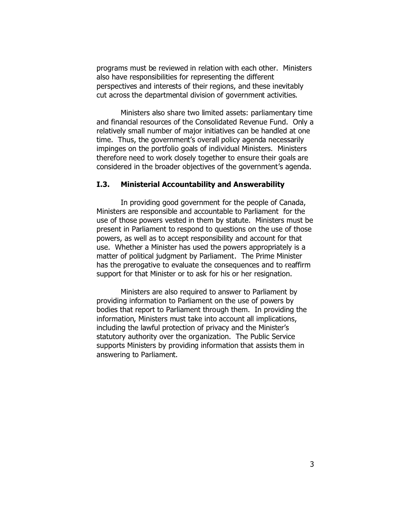programs must be reviewed in relation with each other. Ministers also have responsibilities for representing the different perspectives and interests of their regions, and these inevitably cut across the departmental division of government activities.

Ministers also share two limited assets: parliamentary time and financial resources of the Consolidated Revenue Fund. Only a relatively small number of major initiatives can be handled at one time. Thus, the government's overall policy agenda necessarily impinges on the portfolio goals of individual Ministers. Ministers therefore need to work closely together to ensure their goals are considered in the broader objectives of the government's agenda.

### **I.3. Ministerial Accountability and Answerability**

In providing good government for the people of Canada, Ministers are responsible and *accountable to Parliament* for the use of those powers vested in them by statute. Ministers must be present in Parliament to respond to questions on the use of those powers, as well as to accept responsibility and account for that use. Whether a Minister has used the powers appropriately is a matter of political judgment by Parliament. The Prime Minister has the prerogative to evaluate the consequences and to reaffirm support for that Minister or to ask for his or her resignation.

Ministers are also required to *answer to Parliament* by providing information to Parliament on the use of powers by bodies that report to Parliament through them. In providing the information, Ministers must take into account all implications, including the lawful protection of privacy and the Minister's statutory authority over the organization. The Public Service supports Ministers by providing information that assists them in answering to Parliament.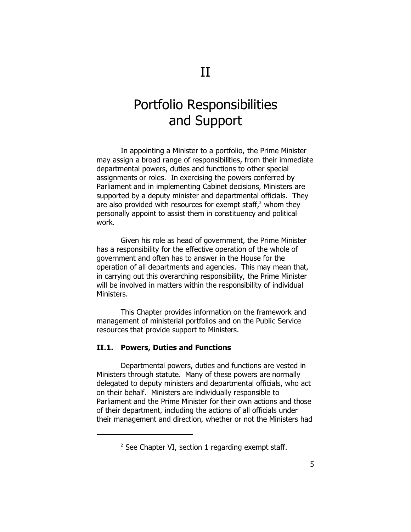## Portfolio Responsibilities and Support

In appointing a Minister to a portfolio, the Prime Minister may assign a broad range of responsibilities, from their immediate departmental powers, duties and functions to other special assignments or roles. In exercising the powers conferred by Parliament and in implementing Cabinet decisions, Ministers are supported by a deputy minister and departmental officials. They are also provided with resources for exempt staff, $^2$  whom they personally appoint to assist them in constituency and political work.

Given his role as head of government, the Prime Minister has a responsibility for the effective operation of the whole of government and often has to answer in the House for the operation of all departments and agencies. This may mean that, in carrying out this overarching responsibility, the Prime Minister will be involved in matters within the responsibility of individual Ministers.

This Chapter provides information on the framework and management of ministerial portfolios and on the Public Service resources that provide support to Ministers.

#### **II.1. Powers, Duties and Functions**

Departmental *powers, duties and functions* are vested in Ministers through statute. Many of these powers are normally delegated to deputy ministers and departmental officials, who act on their behalf. Ministers are individually responsible to Parliament and the Prime Minister for their own actions and those of their department, including the actions of all officials under their management and direction, whether or not the Ministers had

 $2$  See Chapter VI, section 1 regarding exempt staff.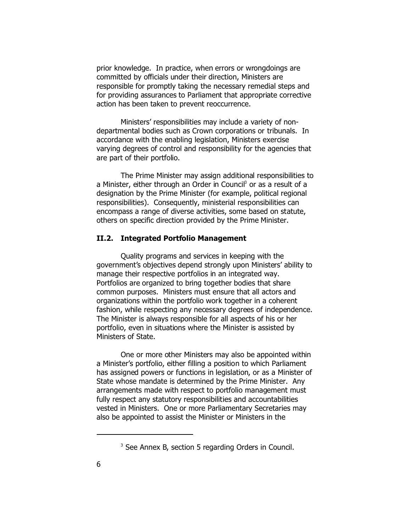prior knowledge. In practice, when errors or wrongdoings are committed by officials under their direction, Ministers are responsible for promptly taking the necessary remedial steps and for providing assurances to Parliament that appropriate corrective action has been taken to prevent reoccurrence.

Ministers' responsibilities may include a variety of nondepartmental bodies such as Crown corporations or tribunals. In accordance with the enabling legislation, Ministers exercise varying degrees of control and responsibility for the agencies that are part of their portfolio.

The Prime Minister may assign additional responsibilities to a Minister, either through an Order in Council<sup>3</sup> or as a result of a designation by the Prime Minister (for example, political regional responsibilities). Consequently, ministerial responsibilities can encompass a range of diverse activities, some based on statute, others on specific direction provided by the Prime Minister.

#### **II.2. Integrated Portfolio Management**

Quality programs and services in keeping with the government's objectives depend strongly upon Ministers' ability to manage their respective portfolios in an integrated way. Portfolios are organized to bring together bodies that share common purposes. Ministers must ensure that all actors and organizations within the portfolio work together in a coherent fashion, while respecting any necessary degrees of independence. The Minister is always responsible for all aspects of his or her portfolio, even in situations where the Minister is assisted by Ministers of State.

One or more other Ministers may also be appointed within a Minister's portfolio, either filling a position to which Parliament has assigned powers or functions in legislation, or as a Minister of State whose mandate is determined by the Prime Minister. Any arrangements made with respect to portfolio management must fully respect any statutory responsibilities and accountabilities vested in Ministers. One or more Parliamentary Secretaries may also be appointed to assist the Minister or Ministers in the

<sup>&</sup>lt;sup>3</sup> See Annex B, section 5 regarding Orders in Council.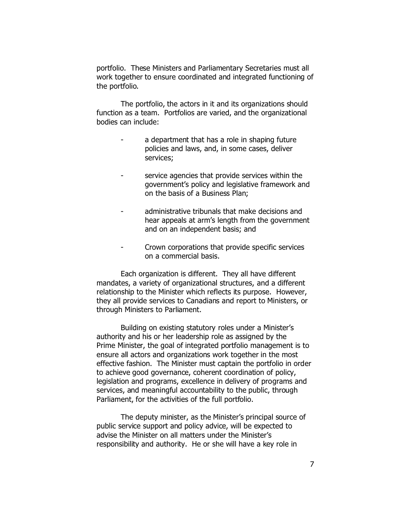portfolio. These Ministers and Parliamentary Secretaries must all work together to ensure coordinated and integrated functioning of the portfolio.

The portfolio, the actors in it and its organizations should function as a team. Portfolios are varied, and the organizational bodies can include:

- a department that has a role in shaping future policies and laws, and, in some cases, deliver services;
- service agencies that provide services within the government's policy and legislative framework and on the basis of a Business Plan;
- administrative tribunals that make decisions and hear appeals at arm's length from the government and on an independent basis; and
- Crown corporations that provide specific services on a commercial basis.

Each organization is different. They all have different mandates, a variety of organizational structures, and a different relationship to the Minister which reflects its purpose. However, they all provide services to Canadians and report to Ministers, or through Ministers to Parliament.

Building on existing statutory roles under a Minister's authority and his or her leadership role as assigned by the Prime Minister, the goal of integrated portfolio management is to ensure all actors and organizations work together in the most effective fashion. The Minister must captain the portfolio in order to achieve good governance, coherent coordination of policy, legislation and programs, excellence in delivery of programs and services, and meaningful accountability to the public, through Parliament, for the activities of the full portfolio.

The deputy minister, as the Minister's principal source of public service support and policy advice, will be expected to advise the Minister on all matters under the Minister's responsibility and authority. He or she will have a key role in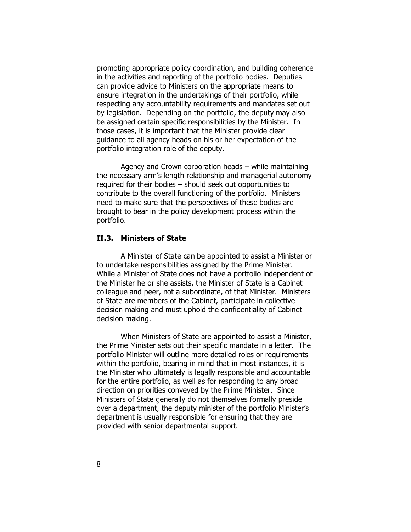promoting appropriate policy coordination, and building coherence in the activities and reporting of the portfolio bodies. Deputies can provide advice to Ministers on the appropriate means to ensure integration in the undertakings of their portfolio, while respecting any accountability requirements and mandates set out by legislation. Depending on the portfolio, the deputy may also be assigned certain specific responsibilities by the Minister. In those cases, it is important that the Minister provide clear guidance to all agency heads on his or her expectation of the portfolio integration role of the deputy.

Agency and Crown corporation heads – while maintaining the necessary arm's length relationship and managerial autonomy required for their bodies – should seek out opportunities to contribute to the overall functioning of the portfolio. Ministers need to make sure that the perspectives of these bodies are brought to bear in the policy development process within the portfolio.

#### **II.3. Ministers of State**

A Minister of State can be appointed to assist a Minister or to undertake responsibilities assigned by the Prime Minister. While a Minister of State does not have a portfolio independent of the Minister he or she assists, the Minister of State is a Cabinet colleague and peer, not a subordinate, of that Minister. Ministers of State are members of the Cabinet, participate in collective decision making and must uphold the confidentiality of Cabinet decision making.

When Ministers of State are appointed to assist a Minister, the Prime Minister sets out their specific mandate in a letter. The portfolio Minister will outline more detailed roles or requirements within the portfolio, bearing in mind that in most instances, it is the Minister who ultimately is legally responsible and accountable for the entire portfolio, as well as for responding to any broad direction on priorities conveyed by the Prime Minister. Since Ministers of State generally do not themselves formally preside over a department, the deputy minister of the portfolio Minister's department is usually responsible for ensuring that they are provided with senior departmental support.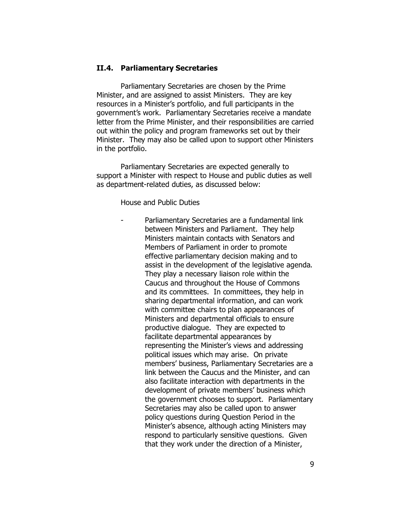#### **II.4. Parliamentary Secretaries**

Parliamentary Secretaries are chosen by the Prime Minister, and are assigned to assist Ministers. They are key resources in a Minister's portfolio, and full participants in the government's work. Parliamentary Secretaries receive a mandate letter from the Prime Minister, and their responsibilities are carried out within the policy and program frameworks set out by their Minister. They may also be called upon to support other Ministers in the portfolio.

Parliamentary Secretaries are expected generally to support a Minister with respect to House and public duties as well as department-related duties, as discussed below:

*House and Public Duties*

Parliamentary Secretaries are a fundamental link between Ministers and Parliament. They help Ministers maintain contacts with Senators and Members of Parliament in order to promote effective parliamentary decision making and to assist in the development of the legislative agenda. They play a necessary liaison role within the Caucus and throughout the House of Commons and its committees. In committees, they help in sharing departmental information, and can work with committee chairs to plan appearances of Ministers and departmental officials to ensure productive dialogue. They are expected to facilitate departmental appearances by representing the Minister's views and addressing political issues which may arise. On private members' business, Parliamentary Secretaries are a link between the Caucus and the Minister, and can also facilitate interaction with departments in the development of private members' business which the government chooses to support. Parliamentary Secretaries may also be called upon to answer policy questions during Question Period in the Minister's absence, although acting Ministers may respond to particularly sensitive questions. Given that they work under the direction of a Minister,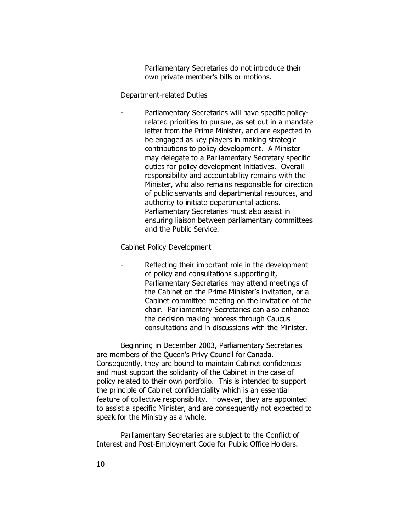Parliamentary Secretaries do not introduce their own private member's bills or motions.

#### *Department-related Duties*

Parliamentary Secretaries will have specific policyrelated priorities to pursue, as set out in a mandate letter from the Prime Minister, and are expected to be engaged as key players in making strategic contributions to policy development. A Minister may delegate to a Parliamentary Secretary specific duties for policy development initiatives. Overall responsibility and accountability remains with the Minister, who also remains responsible for direction of public servants and departmental resources, and authority to initiate departmental actions. Parliamentary Secretaries must also assist in ensuring liaison between parliamentary committees and the Public Service.

*Cabinet Policy Development*

Reflecting their important role in the development of policy and consultations supporting it, Parliamentary Secretaries may attend meetings of the Cabinet on the Prime Minister's invitation, or a Cabinet committee meeting on the invitation of the chair. Parliamentary Secretaries can also enhance the decision making process through Caucus consultations and in discussions with the Minister.

Beginning in December 2003, Parliamentary Secretaries are members of the Queen's Privy Council for Canada. Consequently, they are bound to maintain Cabinet confidences and must support the solidarity of the Cabinet in the case of policy related to their own portfolio. This is intended to support the principle of Cabinet confidentiality which is an essential feature of collective responsibility. However, they are appointed to assist a specific Minister, and are consequently not expected to speak for the Ministry as a whole.

Parliamentary Secretaries are subject to the *Conflict of Interest and Post-Employment Code for Public Office Holders*.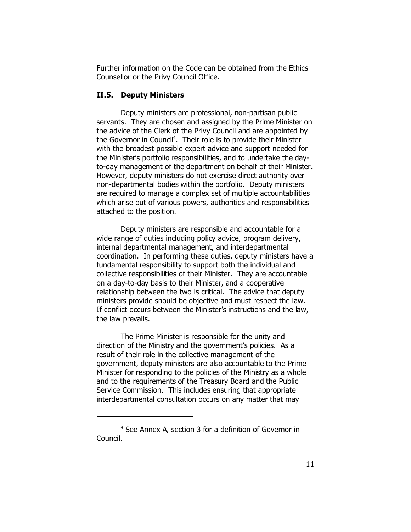Further information on the Code can be obtained from the Ethics Counsellor or the Privy Council Office.

#### **II.5. Deputy Ministers**

Deputy ministers are professional, non-partisan public servants. They are chosen and assigned by the Prime Minister on the advice of the Clerk of the Privy Council and are appointed by the Governor in Council<sup>4</sup>. Their role is to provide their Minister with the broadest possible expert advice and support needed for the Minister's portfolio responsibilities, and to undertake the dayto-day management of the department on behalf of their Minister. However, deputy ministers do not exercise direct authority over non-departmental bodies within the portfolio. Deputy ministers are required to manage a complex set of multiple accountabilities which arise out of various powers, authorities and responsibilities attached to the position.

Deputy ministers are responsible and accountable for a wide range of duties including policy advice, program delivery, internal departmental management, and interdepartmental coordination. In performing these duties, deputy ministers have a fundamental responsibility to support both the individual and collective responsibilities of their Minister. They are accountable on a day-to-day basis to their Minister, and a cooperative relationship between the two is critical. The advice that deputy ministers provide should be objective and must respect the law. If conflict occurs between the Minister's instructions and the law, the law prevails.

The Prime Minister is responsible for the unity and direction of the Ministry and the government's policies. As a result of their role in the collective management of the government, deputy ministers are also accountable to the Prime Minister for responding to the policies of the Ministry as a whole and to the requirements of the Treasury Board and the Public Service Commission. This includes ensuring that appropriate interdepartmental consultation occurs on any matter that may

<sup>4</sup> See Annex A, section 3 for a definition of Governor in Council.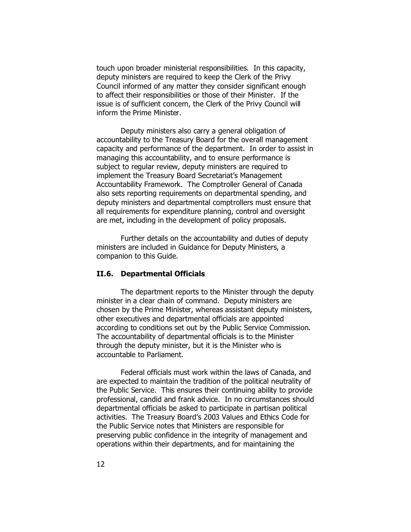touch upon broader ministerial responsibilities. In this capacity, deputy ministers are required to keep the Clerk of the Privy Council informed of any matter they consider significant enough to affect their responsibilities or those of their Minister. If the issue is of sufficient concern, the Clerk of the Privy Council will inform the Prime Minister.

Deputy ministers also carry a general obligation of accountability to the Treasury Board for the overall management capacity and performance of the department. In order to assist in managing this accountability, and to ensure performance is subject to regular review, deputy ministers are required to implement the Treasury Board Secretariat's Management Accountability Framework. The Comptroller General of Canada also sets reporting requirements on departmental spending, and deputy ministers and departmental comptrollers must ensure that all requirements for expenditure planning, control and oversight are met, including in the development of policy proposals.

Further details on the accountability and duties of deputy ministers are included in *Guidance for Deputy Ministers*, a companion to this *Guide*.

#### **II.6. Departmental Officials**

The department reports to the Minister through the deputy minister in a clear chain of command. Deputy ministers are chosen by the Prime Minister, whereas assistant deputy ministers, other executives and departmental officials are appointed according to conditions set out by the Public Service Commission. The accountability of departmental officials is to the Minister through the deputy minister, but it is the Minister who is accountable to Parliament.

Federal officials must work within the laws of Canada, and are expected to maintain the tradition of the political neutrality of the Public Service. This ensures their continuing ability to provide professional, candid and frank advice. In no circumstances should departmental officials be asked to participate in partisan political activities. The Treasury Board's 2003 *Values and Ethics Code for the Public Service* notes that Ministers are responsible for preserving public confidence in the integrity of management and operations within their departments, and for maintaining the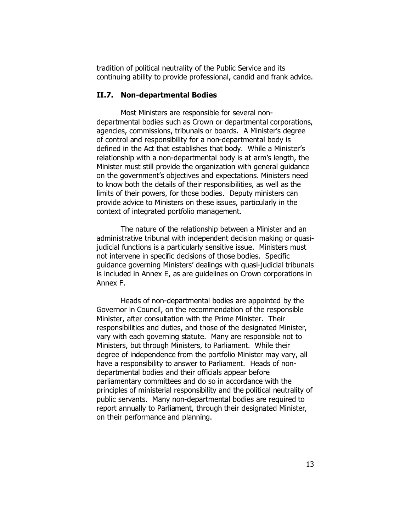tradition of political neutrality of the Public Service and its continuing ability to provide professional, candid and frank advice.

#### **II.7. Non-departmental Bodies**

Most Ministers are responsible for several nondepartmental bodies such as Crown or departmental corporations, agencies, commissions, tribunals or boards. A Minister's degree of control and responsibility for a non-departmental body is defined in the Act that establishes that body. While a Minister's relationship with a non-departmental body is at arm's length, the Minister must still provide the organization with general guidance on the government's objectives and expectations. *Ministers need to know both the details of their responsibilities, as well as the limits of their powers, for those bodies*. Deputy ministers can provide advice to Ministers on these issues, particularly in the context of integrated portfolio management.

The nature of the relationship between a Minister and an administrative tribunal with independent decision making or quasijudicial functions is a particularly sensitive issue. Ministers must not intervene in specific decisions of those bodies. Specific guidance governing Ministers' dealings with quasi-judicial tribunals is included in Annex E, as are guidelines on Crown corporations in Annex F.

Heads of non-departmental bodies are appointed by the Governor in Council, on the recommendation of the responsible Minister, after consultation with the Prime Minister. Their responsibilities and duties, and those of the designated Minister, vary with each governing statute. Many are responsible not to Ministers, but *through* Ministers, to Parliament. While their degree of independence from the portfolio Minister may vary, all have a responsibility to answer to Parliament. Heads of nondepartmental bodies and their officials appear before parliamentary committees and do so in accordance with the principles of ministerial responsibility and the political neutrality of public servants. Many non-departmental bodies are required to report annually to Parliament, through their designated Minister, on their performance and planning.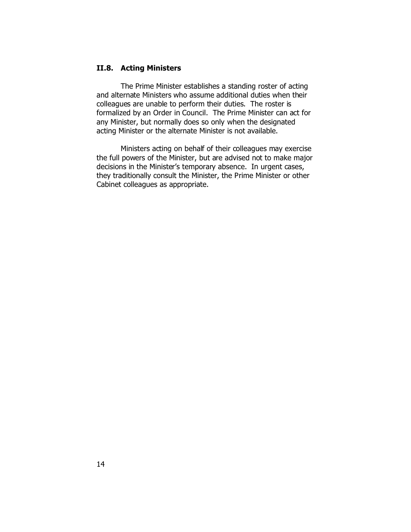### **II.8. Acting Ministers**

The Prime Minister establishes a standing roster of acting and alternate Ministers who assume additional duties when their colleagues are unable to perform their duties. The roster is formalized by an Order in Council. The Prime Minister can act for any Minister, but normally does so only when the designated acting Minister or the alternate Minister is not available.

Ministers acting on behalf of their colleagues may exercise the full powers of the Minister, but are advised not to make major decisions in the Minister's temporary absence. In urgent cases, they traditionally consult the Minister, the Prime Minister or other Cabinet colleagues as appropriate.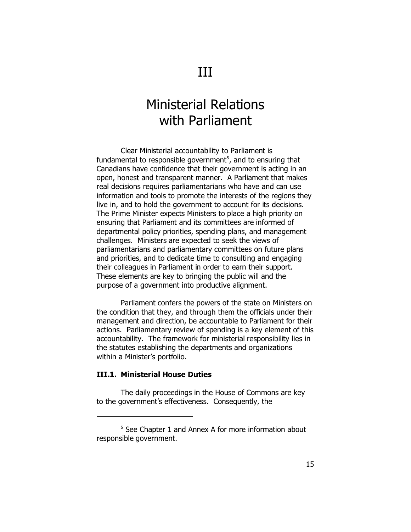## Ministerial Relations with Parliament

Clear Ministerial accountability to Parliament is fundamental to responsible government<sup>5</sup>, and to ensuring that Canadians have confidence that their government is acting in an open, honest and transparent manner. A Parliament that makes real decisions requires parliamentarians who have and can use information and tools to promote the interests of the regions they live in, and to hold the government to account for its decisions. The Prime Minister expects Ministers to place a high priority on ensuring that Parliament and its committees are informed of departmental policy priorities, spending plans, and management challenges. Ministers are expected to seek the views of parliamentarians and parliamentary committees on future plans and priorities, and to dedicate time to consulting and engaging their colleagues in Parliament in order to earn their support. These elements are key to bringing the public will and the purpose of a government into productive alignment.

Parliament confers the powers of the state on Ministers on the condition that they, and through them the officials under their management and direction, be accountable to Parliament for their actions. Parliamentary review of spending is a key element of this accountability. The framework for ministerial responsibility lies in the statutes establishing the departments and organizations within a Minister's portfolio.

#### **III.1. Ministerial House Duties**

The daily proceedings in the House of Commons are key to the government's effectiveness. Consequently, the

<sup>&</sup>lt;sup>5</sup> See Chapter 1 and Annex A for more information about responsible government.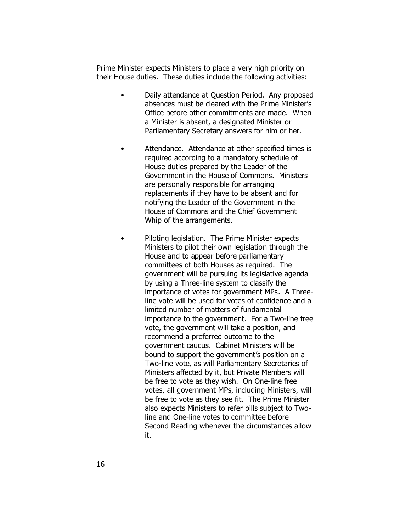Prime Minister expects Ministers to place a very high priority on their House duties. These duties include the following activities:

- *Daily attendance at Question Period*. Any proposed absences must be cleared with the Prime Minister's Office before other commitments are made. When a Minister is absent, a designated Minister or Parliamentary Secretary answers for him or her.
- *Attendance*. Attendance at other specified times is required according to a *mandatory schedule* of House duties prepared by the Leader of the Government in the House of Commons. Ministers are personally responsible for arranging replacements if they have to be absent and for notifying the Leader of the Government in the House of Commons and the Chief Government Whip of the arrangements.
- *Piloting legislation*. The Prime Minister expects Ministers to pilot their own legislation through the House and to appear before parliamentary committees of both Houses as required. The government will be pursuing its legislative agenda by using a Three-line system to classify the importance of votes for government MPs. A Threeline vote will be used for votes of confidence and a limited number of matters of fundamental importance to the government. For a Two-line free vote, the government will take a position, and recommend a preferred outcome to the government caucus. Cabinet Ministers will be bound to support the government's position on a Two-line vote, as will Parliamentary Secretaries of Ministers affected by it, but Private Members will be free to vote as they wish. On One-line free votes, all government MPs, including Ministers, will be free to vote as they see fit. The Prime Minister also expects Ministers to refer bills subject to Twoline and One-line votes to committee before Second Reading whenever the circumstances allow it.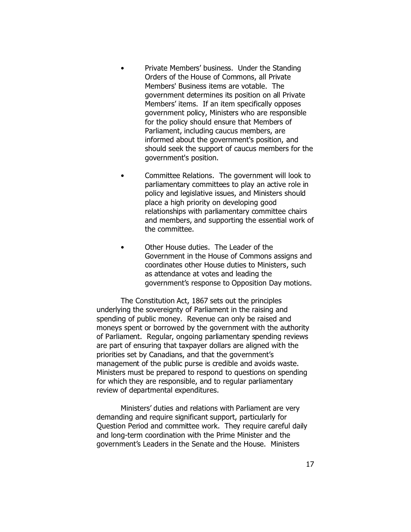- *Private Members' business*. Under the Standing Orders of the House of Commons, all Private Members' Business items are votable. The government determines its position on all Private Members' items. If an item specifically opposes government policy, Ministers who are responsible for the policy should ensure that Members of Parliament, including caucus members, are informed about the government's position, and should seek the support of caucus members for the government's position.
- *Committee Relations*. The government will look to parliamentary committees to play an active role in policy and legislative issues, and Ministers should place a high priority on developing good relationships with parliamentary committee chairs and members, and supporting the essential work of the committee.
- *Other House duties*. The Leader of the Government in the House of Commons assigns and coordinates other House duties to Ministers, such as attendance at votes and leading the government's response to Opposition Day motions.

The *Constitution Act, 1867* sets out the principles underlying the sovereignty of Parliament in the raising and spending of public money. Revenue can only be raised and moneys spent or borrowed by the government with the authority of Parliament. Regular, ongoing parliamentary spending reviews are part of ensuring that taxpayer dollars are aligned with the priorities set by Canadians, and that the government's management of the public purse is credible and avoids waste. Ministers must be prepared to respond to questions on spending for which they are responsible, and to regular parliamentary review of departmental expenditures.

Ministers' duties and relations with Parliament are very demanding and require significant support, particularly for Question Period and committee work. They require careful daily and long-term coordination with the Prime Minister and the government's Leaders in the Senate and the House. Ministers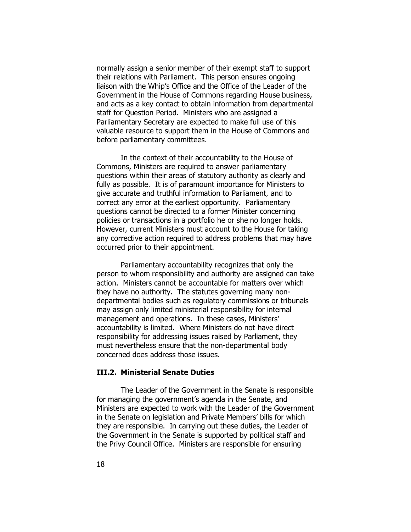normally assign a senior member of their exempt staff to support their relations with Parliament. This person ensures ongoing liaison with the Whip's Office and the Office of the Leader of the Government in the House of Commons regarding House business, and acts as a key contact to obtain information from departmental staff for Question Period. Ministers who are assigned a Parliamentary Secretary are expected to make full use of this valuable resource to support them in the House of Commons and before parliamentary committees.

In the context of their accountability to the House of Commons, Ministers are required to answer parliamentary questions within their areas of statutory authority as clearly and fully as possible. It is of paramount importance for Ministers to give accurate and truthful information to Parliament, and to correct any error at the earliest opportunity. Parliamentary questions cannot be directed to a former Minister concerning policies or transactions in a portfolio he or she no longer holds. However, current Ministers must account to the House for taking any corrective action required to address problems that may have occurred prior to their appointment.

Parliamentary accountability recognizes that only the person to whom responsibility and authority are assigned can take action. Ministers cannot be accountable for matters over which they have no authority. The statutes governing many nondepartmental bodies such as regulatory commissions or tribunals may assign only limited ministerial responsibility for internal management and operations. In these cases, Ministers' accountability is limited. Where Ministers do not have direct responsibility for addressing issues raised by Parliament, they must nevertheless ensure that the non-departmental body concerned does address those issues.

#### **III.2. Ministerial Senate Duties**

The Leader of the Government in the Senate is responsible for managing the government's agenda in the Senate, and Ministers are expected to work with the Leader of the Government in the Senate on legislation and Private Members' bills for which they are responsible. In carrying out these duties, the Leader of the Government in the Senate is supported by political staff and the Privy Council Office. Ministers are responsible for ensuring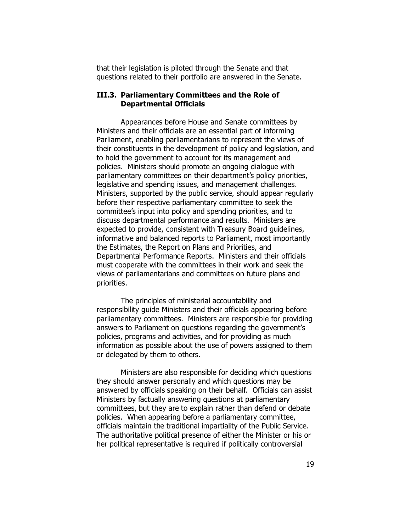that their legislation is piloted through the Senate and that questions related to their portfolio are answered in the Senate.

#### **III.3. Parliamentary Committees and the Role of Departmental Officials**

Appearances before House and Senate committees by Ministers and their officials are an essential part of informing Parliament, enabling parliamentarians to represent the views of their constituents in the development of policy and legislation, and to hold the government to account for its management and policies. Ministers should promote an ongoing dialogue with parliamentary committees on their department's policy priorities, legislative and spending issues, and management challenges. Ministers, supported by the public service, should appear regularly before their respective parliamentary committee to seek the committee's input into policy and spending priorities, and to discuss departmental performance and results. Ministers are expected to provide, consistent with Treasury Board guidelines, informative and balanced reports to Parliament, most importantly the Estimates, the Report on Plans and Priorities, and Departmental Performance Reports. Ministers and their officials must cooperate with the committees in their work and seek the views of parliamentarians and committees on future plans and priorities.

The principles of ministerial accountability and responsibility guide Ministers and their officials appearing before parliamentary committees. Ministers are responsible for providing answers to Parliament on questions regarding the government's policies, programs and activities, and for providing as much information as possible about the use of powers assigned to them or delegated by them to others.

Ministers *are also responsible for deciding which questions* they should answer personally and which questions may be answered by officials speaking on their behalf. Officials can assist Ministers by factually answering questions at parliamentary committees, but they are to explain rather than defend or debate policies. When appearing before a parliamentary committee, officials maintain the traditional impartiality of the Public Service. The authoritative political presence of either the Minister or his or her political representative is required if politically controversial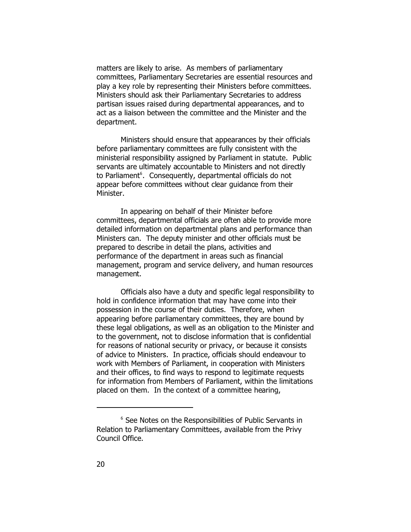matters are likely to arise. As members of parliamentary committees, Parliamentary Secretaries are essential resources and play a key role by representing their Ministers before committees. Ministers should ask their Parliamentary Secretaries to address partisan issues raised during departmental appearances, and to act as a liaison between the committee and the Minister and the department.

Ministers should ensure that appearances by their officials before parliamentary committees are fully consistent with the ministerial responsibility assigned by Parliament in statute. Public servants are ultimately accountable to Ministers and not directly to Parliament<sup>6</sup>. Consequently, departmental officials do not appear before committees without clear guidance from their Minister.

In appearing on behalf of their Minister before committees, departmental officials are often able to provide more detailed information on departmental plans and performance than Ministers can. The deputy minister and other officials must be prepared to describe in detail the plans, activities and performance of the department in areas such as financial management, program and service delivery, and human resources management.

Officials also have a duty and specific legal responsibility to hold in confidence information that may have come into their possession in the course of their duties. Therefore, when appearing before parliamentary committees, they are bound by these legal obligations, as well as an obligation to the Minister and to the government, not to disclose information that is confidential for reasons of national security or privacy, or because it consists of advice to Ministers. In practice, officials should endeavour to work with Members of Parliament, in cooperation with Ministers and their offices, to find ways to respond to legitimate requests for information from Members of Parliament, within the limitations placed on them. In the context of a committee hearing,

<sup>6</sup> See *Notes on the Responsibilities of Public Servants in Relation to Parliamentary Committees*, available from the Privy Council Office.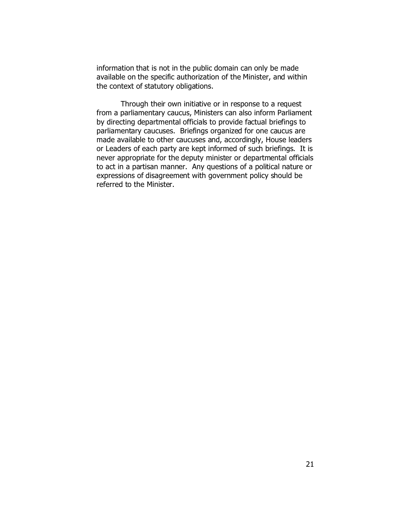information that is not in the public domain can only be made available on the specific authorization of the Minister, and within the context of statutory obligations.

Through their own initiative or in response to a request from a parliamentary caucus, Ministers can also inform Parliament by directing departmental officials to provide factual briefings to parliamentary caucuses. Briefings organized for one caucus are made available to other caucuses and, accordingly, House leaders or Leaders of each party are kept informed of such briefings. It is never appropriate for the deputy minister or departmental officials to act in a partisan manner. Any questions of a political nature or expressions of disagreement with government policy should be referred to the Minister.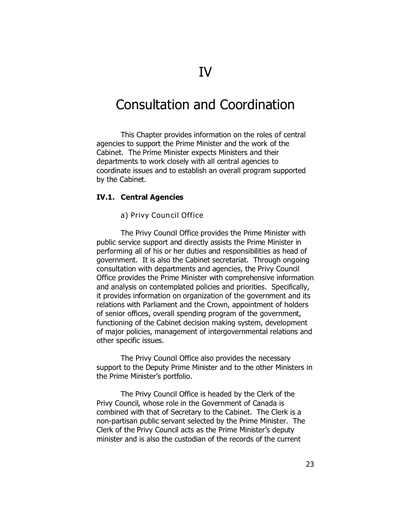## Consultation and Coordination

This Chapter provides information on the roles of central agencies to support the Prime Minister and the work of the Cabinet. The Prime Minister expects Ministers and their departments to work closely with all central agencies to coordinate issues and to establish an overall program supported by the Cabinet.

#### **IV.1. Central Agencies**

*a) Privy Council Office*

The Privy Council Office provides the Prime Minister with public service support and directly assists the Prime Minister in performing all of his or her duties and responsibilities as head of government. It is also the Cabinet secretariat. Through ongoing consultation with departments and agencies, the Privy Council Office provides the Prime Minister with comprehensive information and analysis on contemplated policies and priorities. Specifically, it provides information on organization of the government and its relations with Parliament and the Crown, appointment of holders of senior offices, overall spending program of the government, functioning of the Cabinet decision making system, development of major policies, management of intergovernmental relations and other specific issues.

The Privy Council Office also provides the necessary support to the Deputy Prime Minister and to the other Ministers in the Prime Minister's portfolio.

The Privy Council Office is headed by the Clerk of the Privy Council, whose role in the Government of Canada is combined with that of Secretary to the Cabinet. The Clerk is a non-partisan public servant selected by the Prime Minister. The Clerk of the Privy Council acts as the Prime Minister's deputy minister and is also the custodian of the records of the current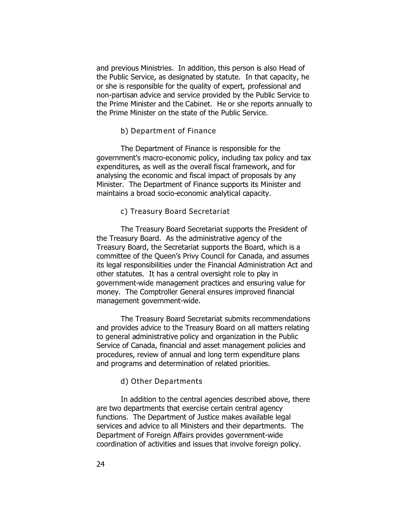and previous Ministries. In addition, this person is also Head of the Public Service, as designated by statute. In that capacity, he or she is responsible for the quality of expert, professional and non-partisan advice and service provided by the Public Service to the Prime Minister and the Cabinet. He or she reports annually to the Prime Minister on the state of the Public Service.

#### *b) Departm ent of Finance*

The Department of Finance is responsible for the government's macro-economic policy, including tax policy and tax expenditures, as well as the overall fiscal framework, and for analysing the economic and fiscal impact of proposals by any Minister. The Department of Finance supports its Minister and maintains a broad socio-economic analytical capacity.

#### *c) Treasury Board Secretariat*

The Treasury Board Secretariat supports the President of the Treasury Board. As the administrative agency of the Treasury Board, the Secretariat supports the Board, which is a committee of the Queen's Privy Council for Canada, and assumes its legal responsibilities under the *Financial Administration Act* and other statutes. It has a central oversight role to play in government-wide management practices and ensuring value for money. The Comptroller General ensures improved financial management government-wide.

The Treasury Board Secretariat submits recommendations and provides advice to the Treasury Board on all matters relating to general administrative policy and organization in the Public Service of Canada, financial and asset management policies and procedures, review of annual and long term expenditure plans and programs and determination of related priorities.

#### *d) Other Departments*

In addition to the central agencies described above, there are two departments that exercise certain central agency functions. The *Department of Justice* makes available legal services and advice to all Ministers and their departments. The *Department of Foreign Affairs* provides government-wide coordination of activities and issues that involve foreign policy.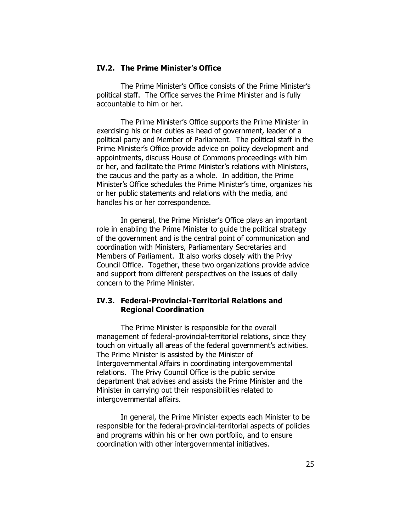#### **IV.2. The Prime Minister's Office**

The Prime Minister's Office consists of the Prime Minister's political staff. The Office serves the Prime Minister and is fully accountable to him or her.

The Prime Minister's Office supports the Prime Minister in exercising his or her duties as head of government, leader of a political party and Member of Parliament. The political staff in the Prime Minister's Office provide advice on policy development and appointments, discuss House of Commons proceedings with him or her, and facilitate the Prime Minister's relations with Ministers, the caucus and the party as a whole. In addition, the Prime Minister's Office schedules the Prime Minister's time, organizes his or her public statements and relations with the media, and handles his or her correspondence.

In general, the Prime Minister's Office plays an important role in enabling the Prime Minister to guide the political strategy of the government and is the central point of communication and coordination with Ministers, Parliamentary Secretaries and Members of Parliament. It also works closely with the Privy Council Office. Together, these two organizations provide advice and support from different perspectives on the issues of daily concern to the Prime Minister.

### **IV.3. Federal-Provincial-Territorial Relations and Regional Coordination**

The Prime Minister is responsible for the overall management of federal-provincial-territorial relations, since they touch on virtually all areas of the federal government's activities. The Prime Minister is assisted by the Minister of Intergovernmental Affairs in coordinating intergovernmental relations. The Privy Council Office is the public service department that advises and assists the Prime Minister and the Minister in carrying out their responsibilities related to intergovernmental affairs.

In general, the Prime Minister expects each Minister to be responsible for the federal-provincial-territorial aspects of policies and programs within his or her own portfolio, and to ensure coordination with other intergovernmental initiatives.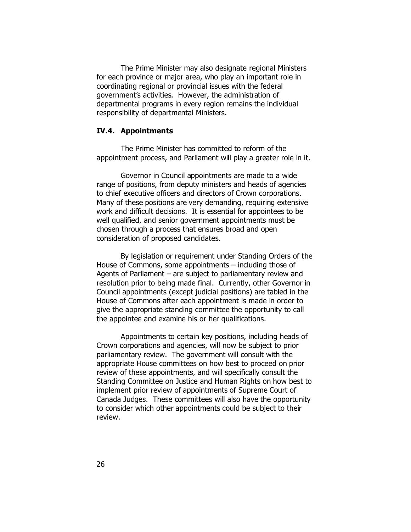The Prime Minister may also designate *regional Ministers* for each province or major area, who play an important role in coordinating regional or provincial issues with the federal government's activities. However, the administration of departmental programs in every region remains the individual responsibility of departmental Ministers.

#### **IV.4. Appointments**

The Prime Minister has committed to reform of the appointment process, and Parliament will play a greater role in it.

Governor in Council appointments are made to a wide range of positions, from deputy ministers and heads of agencies to chief executive officers and directors of Crown corporations. Many of these positions are very demanding, requiring extensive work and difficult decisions. It is essential for appointees to be well qualified, and senior government appointments must be chosen through a process that ensures broad and open consideration of proposed candidates.

By legislation or requirement under Standing Orders of the House of Commons, some appointments – including those of Agents of Parliament – are subject to parliamentary review and resolution prior to being made final. Currently, other Governor in Council appointments (except judicial positions) are tabled in the House of Commons after each appointment is made in order to give the appropriate standing committee the opportunity to call the appointee and examine his or her qualifications.

Appointments to certain key positions, including heads of Crown corporations and agencies, will now be subject to prior parliamentary review. The government will consult with the appropriate House committees on how best to proceed on prior review of these appointments, and will specifically consult the Standing Committee on Justice and Human Rights on how best to implement prior review of appointments of Supreme Court of Canada Judges. These committees will also have the opportunity to consider which other appointments could be subject to their review.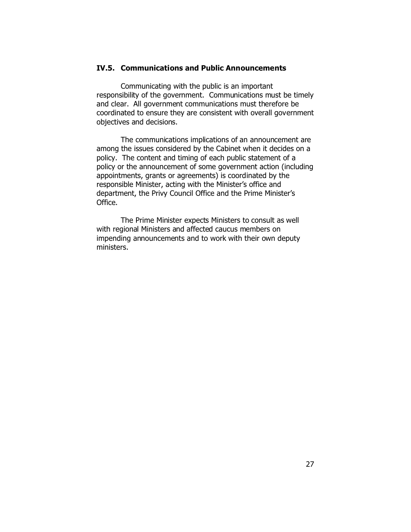#### **IV.5. Communications and Public Announcements**

Communicating with the public is an important responsibility of the government. Communications must be timely and clear. All government communications must therefore be coordinated to ensure they are consistent with overall government objectives and decisions.

The communications implications of an announcement are among the issues considered by the Cabinet when it decides on a policy. The content and timing of each public statement of a policy or the announcement of some government action (including appointments, grants or agreements) is coordinated by the responsible Minister, acting with the Minister's office and department, the Privy Council Office and the Prime Minister's Office.

The Prime Minister expects Ministers to consult as well with regional Ministers and affected caucus members on impending announcements and to work with their own deputy ministers.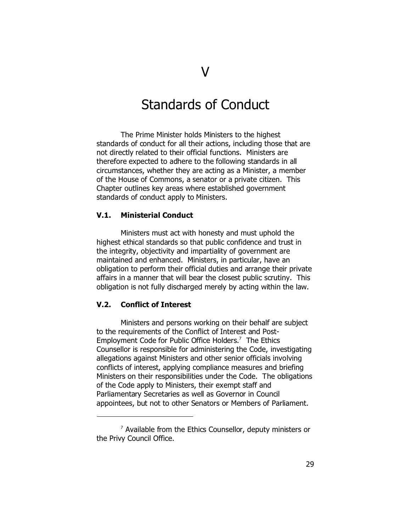## Standards of Conduct

The Prime Minister holds Ministers to the highest standards of conduct for all their actions, including those that are not directly related to their official functions. Ministers are therefore expected to adhere to the following standards in all circumstances, whether they are acting as a Minister, a member of the House of Commons, a senator or a private citizen. This Chapter outlines key areas where established government standards of conduct apply to Ministers.

#### **V.1. Ministerial Conduct**

Ministers must act with honesty and must uphold the highest ethical standards so that public confidence and trust in the integrity, objectivity and impartiality of government are maintained and enhanced. Ministers, in particular, have an obligation to perform their official duties and arrange their private affairs in a manner that will bear the closest public scrutiny. This obligation is not fully discharged merely by acting within the law.

#### **V.2. Conflict of Interest**

Ministers and persons working on their behalf are subject to the requirements of the *Conflict of Interest and Post-Employment Code for Public Office Holders*. 7 The Ethics Counsellor is responsible for administering the Code, investigating allegations against Ministers and other senior officials involving conflicts of interest, applying compliance measures and briefing Ministers on their responsibilities under the Code. The obligations of the Code apply to Ministers, their exempt staff and Parliamentary Secretaries as well as Governor in Council appointees, but not to other Senators or Members of Parliament.

 $\sigma$  Available from the Ethics Counsellor, deputy ministers or the Privy Council Office.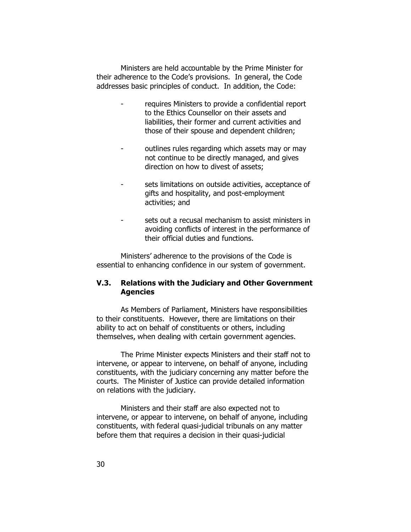Ministers are held accountable by the Prime Minister for their adherence to the Code's provisions. In general, the Code addresses basic principles of conduct. In addition, the Code:

- requires Ministers to provide a *confidential report* to the Ethics Counsellor on their assets and liabilities, their former and current activities and those of their spouse and dependent children;
- outlines *rules* regarding which assets may or may not continue to be directly managed, and gives direction on how to divest of assets;
- sets limitations on outside activities, acceptance of gifts and hospitality, and post-employment activities; and
- sets out a *recusal mechanism* to assist ministers in avoiding conflicts of interest in the performance of their official duties and functions.

Ministers' adherence to the provisions of the Code is essential to enhancing confidence in our system of government.

### **V.3. Relations with the Judiciary and Other Government Agencies**

As Members of Parliament, Ministers have responsibilities to their constituents. However, there are limitations on their ability to act on behalf of constituents or others, including themselves, when dealing with certain government agencies.

The Prime Minister expects Ministers and their staff not to intervene, or appear to intervene, on behalf of anyone, including constituents, with the *judiciary* concerning any matter before the courts. The Minister of Justice can provide detailed information on relations with the judiciary.

Ministers and their staff are also expected not to intervene, or appear to intervene, on behalf of anyone, including constituents, with *federal quasi-judicial tribunals* on any matter before them that requires a decision in their quasi-judicial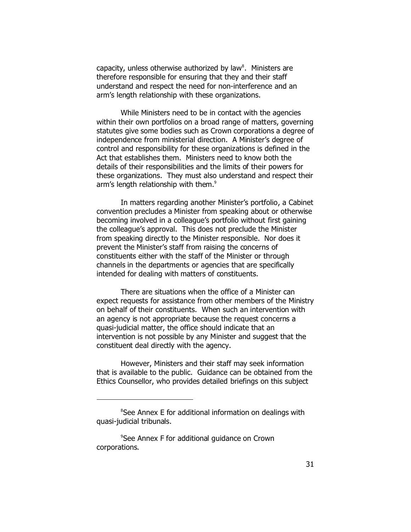capacity, unless otherwise authorized by law $^8$ . Ministers are therefore responsible for ensuring that they and their staff understand and respect the need for non-interference and an arm's length relationship with these organizations.

While Ministers need to be in contact with the agencies within their own portfolios on a broad range of matters, governing statutes give some bodies such as Crown corporations a degree of independence from ministerial direction. A Minister's degree of control and responsibility for these organizations is defined in the Act that establishes them. Ministers need to know both the details of their responsibilities and the limits of their powers for these organizations. They must also understand and respect their arm's length relationship with them.<sup>9</sup>

In matters regarding another Minister's portfolio, a Cabinet convention precludes a Minister from speaking about or otherwise becoming involved in a colleague's portfolio without first gaining the colleague's approval. This does not preclude the Minister from speaking directly to the Minister responsible. Nor does it prevent the Minister's staff from raising the concerns of constituents either with the staff of the Minister or through channels in the departments or agencies that are specifically intended for dealing with matters of constituents.

There are situations when the office of a Minister can expect requests for assistance from other members of the Ministry on behalf of their constituents. When such an intervention with an agency is not appropriate because the request concerns a quasi-judicial matter, the office should indicate that an intervention is not possible by any Minister and suggest that the constituent deal directly with the agency.

However, Ministers and their staff may seek information that is available to the public. Guidance can be obtained from the Ethics Counsellor, who provides detailed briefings on this subject

<sup>&</sup>lt;sup>8</sup>See Annex E for additional information on dealings with quasi-judicial tribunals.

<sup>9</sup> See Annex F for additional guidance on Crown corporations.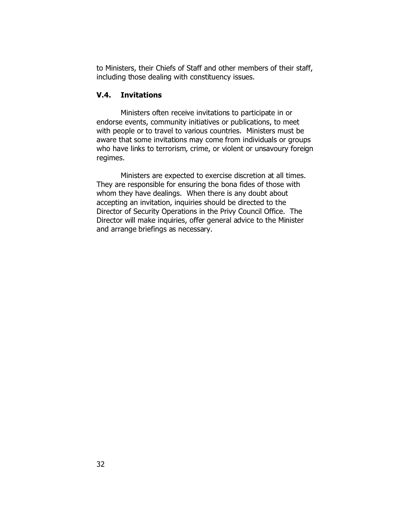to Ministers, their Chiefs of Staff and other members of their staff, including those dealing with constituency issues.

### **V.4. Invitations**

Ministers often receive invitations to participate in or endorse events, community initiatives or publications, to meet with people or to travel to various countries. Ministers must be aware that some invitations may come from individuals or groups who have links to terrorism, crime, or violent or unsavoury foreign regimes.

Ministers are expected to exercise discretion at all times. They are responsible for ensuring the *bona fides* of those with whom they have dealings. When there is any doubt about accepting an invitation, inquiries should be directed to the Director of Security Operations in the Privy Council Office. The Director will make inquiries, offer general advice to the Minister and arrange briefings as necessary.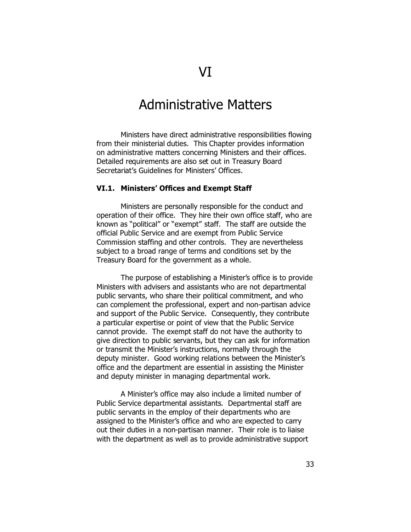## Administrative Matters

Ministers have direct administrative responsibilities flowing from their ministerial duties. This Chapter provides information on administrative matters concerning Ministers and their offices. Detailed requirements are also set out in Treasury Board Secretariat's *Guidelines for Ministers' Offices*.

#### **VI.1. Ministers' Offices and Exempt Staff**

Ministers are personally responsible for the conduct and operation of their office. They hire their own office staff, who are known as "political" or "exempt" staff. The staff are outside the official Public Service and are exempt from Public Service Commission staffing and other controls. They are nevertheless subject to a broad range of terms and conditions set by the Treasury Board for the government as a whole.

The purpose of establishing a Minister's office is to provide Ministers with advisers and assistants who are not departmental public servants, who share their political commitment, and who can complement the professional, expert and non-partisan advice and support of the Public Service. Consequently, they contribute a particular expertise or point of view that the Public Service cannot provide. The exempt staff do not have the authority to give direction to public servants, but they can ask for information or transmit the Minister's instructions, normally through the deputy minister. Good working relations between the Minister's office and the department are essential in assisting the Minister and deputy minister in managing departmental work.

A Minister's office may also include a limited number of Public Service *departmental assistants*. Departmental staff are public servants in the employ of their departments who are assigned to the Minister's office and who are expected to carry out their duties in a non-partisan manner. Their role is to liaise with the department as well as to provide administrative support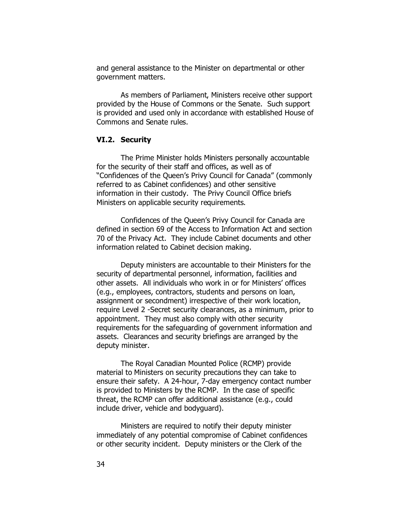and general assistance to the Minister on departmental or other government matters.

As members of Parliament, Ministers receive other support provided by the House of Commons or the Senate. Such support is provided and used only in accordance with established House of Commons and Senate rules.

### **VI.2. Security**

The Prime Minister holds Ministers personally accountable for the security of their staff and offices, as well as of "Confidences of the Queen's Privy Council for Canada" (commonly referred to as Cabinet confidences) and other sensitive information in their custody. The Privy Council Office briefs Ministers on applicable security requirements.

Confidences of the Queen's Privy Council for Canada are defined in section 69 of the *Access to Information Act* and section 70 of the *Privacy Act*. They include Cabinet documents and other information related to Cabinet decision making.

Deputy ministers are accountable to their Ministers for the security of departmental personnel, information, facilities and other assets. All individuals who work in or for Ministers' offices (e.g., employees, contractors, students and persons on loan, assignment or secondment) irrespective of their work location, require Level 2 -Secret security clearances, as a minimum, *prior to appointment*. They must also comply with other security requirements for the safeguarding of government information and assets. Clearances and security briefings are arranged by the deputy minister.

The Royal Canadian Mounted Police (RCMP) provide material to Ministers on security precautions they can take to ensure their safety. A 24-hour, 7-day emergency contact number is provided to Ministers by the RCMP. In the case of specific threat, the RCMP can offer additional assistance (e.g., could include driver, vehicle and bodyguard).

Ministers are required to notify their deputy minister immediately of any potential compromise of Cabinet confidences or other security incident. Deputy ministers or the Clerk of the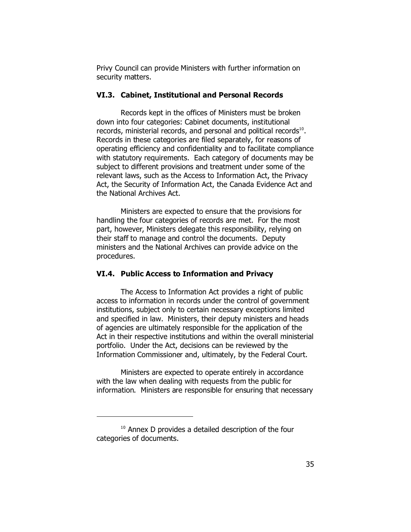Privy Council can provide Ministers with further information on security matters.

#### **VI.3. Cabinet, Institutional and Personal Records**

Records kept in the offices of Ministers must be broken down into four categories: Cabinet documents, institutional records, ministerial records, and personal and political records $^{10}$ . Records in these categories are filed separately, for reasons of operating efficiency and confidentiality and to facilitate compliance with statutory requirements. Each category of documents may be subject to different provisions and treatment under some of the relevant laws, such as the *Access to Information Act*, the *Privacy Act*, the *Security of Information Act*, the *Canada Evidence Act* and the *National Archives Act*.

Ministers are expected to ensure that the provisions for handling the four categories of records are met. For the most part, however, Ministers delegate this responsibility, relying on their staff to manage and control the documents. Deputy ministers and the National Archives can provide advice on the procedures.

### **VI.4. Public Access to Information and Privacy**

The *Access to Information Act* provides a right of public access to information in records under the control of government institutions, subject only to certain necessary exceptions limited and specified in law. Ministers, their deputy ministers and heads of agencies are ultimately responsible for the application of the Act in their respective institutions and within the overall ministerial portfolio. Under the Act, decisions can be reviewed by the Information Commissioner and, ultimately, by the Federal Court.

Ministers are expected to operate entirely in accordance with the law when dealing with requests from the public for information. Ministers are responsible for ensuring that necessary

<sup>&</sup>lt;sup>10</sup> Annex D provides a detailed description of the four categories of documents.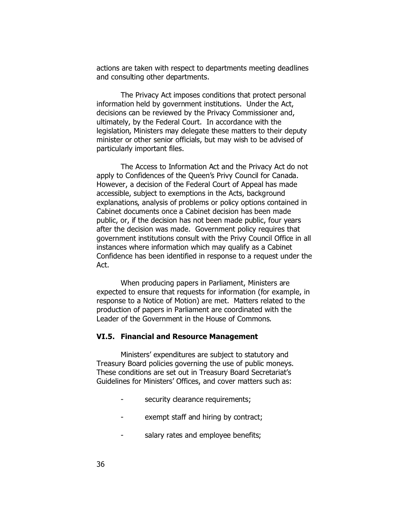actions are taken with respect to departments meeting deadlines and consulting other departments.

The *Privacy Act* imposes conditions that protect personal information held by government institutions. Under the Act, decisions can be reviewed by the Privacy Commissioner and, ultimately, by the Federal Court. In accordance with the legislation, Ministers may delegate these matters to their deputy minister or other senior officials, but may wish to be advised of particularly important files.

The *Access to Information Act* and the *Privacy Act* do not apply to Confidences of the Queen's Privy Council for Canada. However, a decision of the Federal Court of Appeal has made accessible, subject to exemptions in the Acts, background explanations, analysis of problems or policy options contained in Cabinet documents once a Cabinet decision has been made public, or, if the decision has not been made public, four years after the decision was made. Government policy requires that government institutions consult with the Privy Council Office in all instances where information which may qualify as a Cabinet Confidence has been identified in response to a request under the Act.

When producing *papers in Parliament*, Ministers are expected to ensure that requests for information (for example, in response to a Notice of Motion) are met. Matters related to the production of papers in Parliament are coordinated with the Leader of the Government in the House of Commons.

#### **VI.5. Financial and Resource Management**

Ministers' expenditures are subject to statutory and Treasury Board policies governing the use of public moneys. These conditions are set out in Treasury Board Secretariat's *Guidelines for Ministers' Offices*, and cover matters such as:

- security clearance requirements;
- exempt staff and hiring by contract;
- salary rates and employee benefits;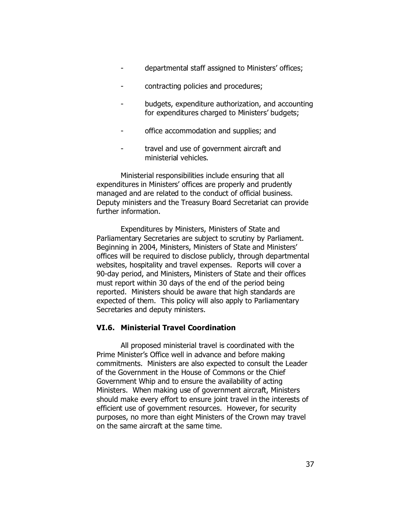- departmental staff assigned to Ministers' offices;
- contracting policies and procedures;
- budgets, expenditure authorization, and accounting for expenditures charged to Ministers' budgets;
- office accommodation and supplies; and
- travel and use of government aircraft and ministerial vehicles.

Ministerial responsibilities include ensuring that all expenditures in Ministers' offices are properly and prudently managed and are related to the conduct of official business. Deputy ministers and the Treasury Board Secretariat can provide further information.

Expenditures by Ministers, Ministers of State and Parliamentary Secretaries are subject to scrutiny by Parliament. Beginning in 2004, Ministers, Ministers of State and Ministers' offices will be required to disclose publicly, through departmental websites, hospitality and travel expenses. Reports will cover a 90-day period, and Ministers, Ministers of State and their offices must report within 30 days of the end of the period being reported. Ministers should be aware that high standards are expected of them. This policy will also apply to Parliamentary Secretaries and deputy ministers.

#### **VI.6. Ministerial Travel Coordination**

All proposed ministerial travel is coordinated with the Prime Minister's Office well in advance and before making commitments. Ministers are also expected to consult the Leader of the Government in the House of Commons or the Chief Government Whip and to ensure the availability of acting Ministers. When making use of government aircraft, Ministers should make every effort to ensure joint travel in the interests of efficient use of government resources. However, for security purposes, no more than eight Ministers of the Crown may travel on the same aircraft at the same time.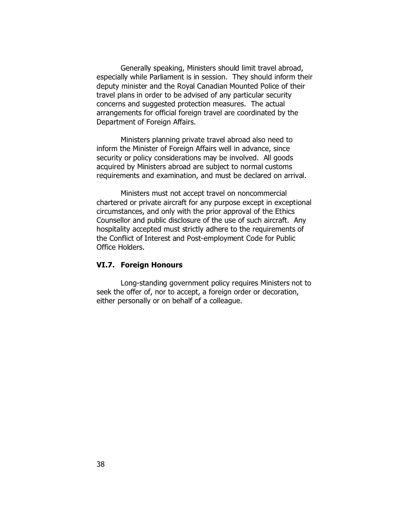Generally speaking, Ministers should limit travel abroad, especially while Parliament is in session. They should inform their deputy minister and the Royal Canadian Mounted Police of their travel plans in order to be advised of any particular security concerns and suggested protection measures. The actual arrangements for official foreign travel are coordinated by the Department of Foreign Affairs.

Ministers planning *private travel abroad* also need to inform the Minister of Foreign Affairs well in advance, since security or policy considerations may be involved. All goods acquired by Ministers abroad are subject to normal customs requirements and examination, and must be declared on arrival.

Ministers must not accept travel on noncommercial chartered or private aircraft for any purpose except in exceptional circumstances, and only with the prior approval of the Ethics Counsellor and public disclosure of the use of such aircraft. Any hospitality accepted must strictly adhere to the requirements of the *Conflict of Interest and Post-employment Code for Public Office Holders*.

#### **VI.7. Foreign Honours**

Long-standing government policy requires Ministers not to seek the offer of, nor to accept, a foreign order or decoration, either personally or on behalf of a colleague.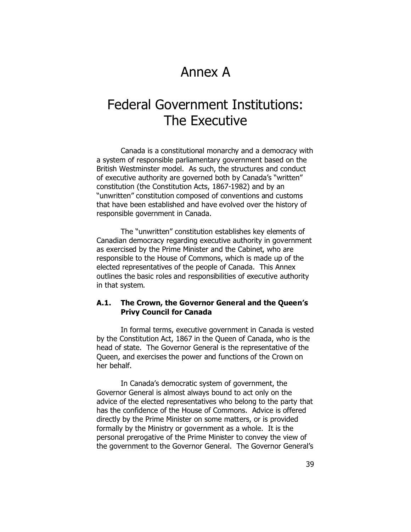## Annex A

## Federal Government Institutions: The Executive

Canada is a constitutional monarchy and a democracy with a system of responsible parliamentary government based on the British Westminster model. As such, the structures and conduct of executive authority are governed both by Canada's "written" constitution (the *Constitution Acts, 1867-1982*) and by an "unwritten" constitution composed of conventions and customs that have been established and have evolved over the history of responsible government in Canada.

The "unwritten" constitution establishes key elements of Canadian democracy regarding executive authority in government as exercised by the Prime Minister and the Cabinet, who are responsible to the House of Commons, which is made up of the elected representatives of the people of Canada. This Annex outlines the basic roles and responsibilities of executive authority in that system.

#### **A.1. The Crown, the Governor General and the Queen's Privy Council for Canada**

In formal terms, executive government in Canada is vested by the *Constitution Act, 1867* in the Queen of Canada, who is the head of state. The Governor General is the representative of the Queen, and exercises the power and functions of the Crown on her behalf.

In Canada's democratic system of government, the Governor General is almost always bound to act only on the advice of the elected representatives who belong to the party that has the confidence of the House of Commons. Advice is offered directly by the Prime Minister on some matters, or is provided formally by the Ministry or government as a whole. It is the personal prerogative of the Prime Minister to convey the view of the government to the Governor General. The Governor General's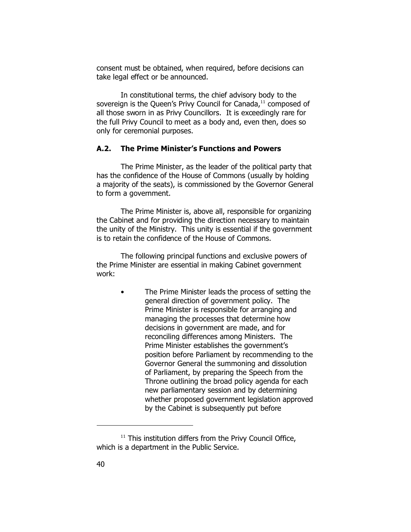consent must be obtained, when required, *before* decisions can take legal effect or be announced.

In constitutional terms, the chief advisory body to the sovereign is the Queen's Privy Council for Canada,<sup>11</sup> composed of all those sworn in as Privy Councillors. It is exceedingly rare for the full Privy Council to meet as a body and, even then, does so only for ceremonial purposes.

### **A.2. The Prime Minister's Functions and Powers**

The Prime Minister, as the leader of the political party that has the confidence of the House of Commons (usually by holding a majority of the seats), is commissioned by the Governor General to form a government.

The Prime Minister is, above all, responsible for organizing the Cabinet and for providing the direction necessary to maintain the unity of the Ministry. This unity is essential if the government is to retain the confidence of the House of Commons.

The following principal functions and exclusive powers of the Prime Minister are essential in making Cabinet government work:

> • The Prime Minister leads *the process of setting the general direction of government policy.* The Prime Minister is responsible for arranging and managing the processes that determine how decisions in government are made, and for reconciling differences among Ministers. The Prime Minister establishes the government's position before Parliament by recommending to the Governor General the summoning and dissolution of Parliament, by preparing the Speech from the Throne outlining the broad policy agenda for each new parliamentary session and by determining whether proposed government legislation approved by the Cabinet is subsequently put before

 $11$  This institution differs from the Privy Council Office, which is a department in the Public Service.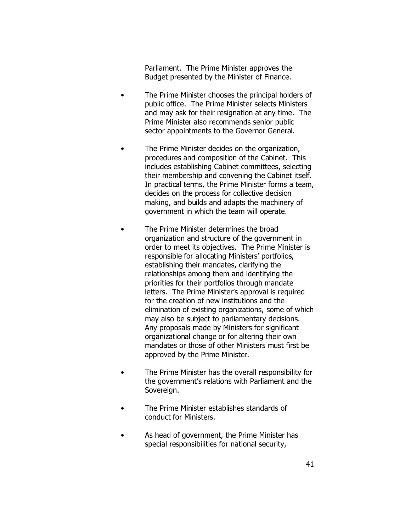Parliament. The Prime Minister approves the Budget presented by the Minister of Finance.

- The Prime Minister *chooses the principal holders of public office*. The Prime Minister selects Ministers and may ask for their resignation at any time. The Prime Minister also recommends *senior public sector appointments* to the Governor General.
- The Prime Minister decides on the organization, procedures and composition of the Cabinet. This includes establishing Cabinet committees, selecting their membership and convening the Cabinet itself. In practical terms, the Prime Minister forms a team, decides on the process for collective decision making, and builds and adapts the machinery of government in which the team will operate.
- The Prime Minister determines *the broad organization and structure of the government* in order to meet its objectives. The Prime Minister is responsible for allocating Ministers' portfolios, establishing their mandates, clarifying the relationships among them and identifying the priorities for their portfolios through mandate letters. The Prime Minister's approval is required for the creation of new institutions and the elimination of existing organizations, some of which may also be subject to parliamentary decisions. Any proposals made by Ministers for significant organizational change or for altering their own mandates or those of other Ministers must first be approved by the Prime Minister.
- The Prime Minister has the overall responsibility for the government's relations with Parliament and the Sovereign.
- The Prime Minister establishes *standards of conduct* for Ministers.
- As head of government, the Prime Minister has *special responsibilities* for national security,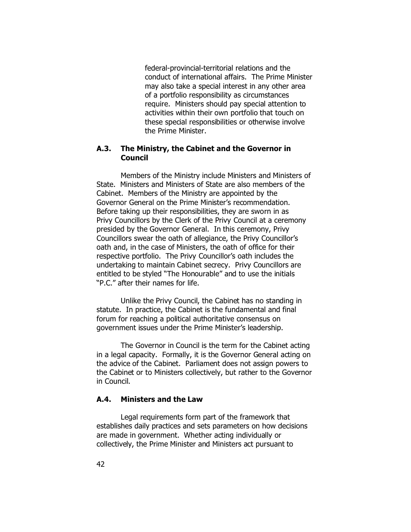federal-provincial-territorial relations and the conduct of international affairs. The Prime Minister may also take a special interest in any other area of a portfolio responsibility as circumstances require. Ministers should pay special attention to activities within their own portfolio that touch on these special responsibilities or otherwise involve the Prime Minister.

### **A.3. The Ministry, the Cabinet and the Governor in Council**

Members of the *Ministry* include Ministers and Ministers of State. Ministers and Ministers of State are also members of the *Cabinet*. Members of the Ministry are appointed by the Governor General on the Prime Minister's recommendation. Before taking up their responsibilities, they are sworn in as Privy Councillors by the Clerk of the Privy Council at a ceremony presided by the Governor General. In this ceremony, Privy Councillors swear the oath of allegiance, the Privy Councillor's oath and, in the case of Ministers, the oath of office for their respective portfolio. The Privy Councillor's oath includes the undertaking to maintain Cabinet secrecy. Privy Councillors are entitled to be styled "The Honourable" and to use the initials "P.C." after their names for life.

Unlike the Privy Council, the Cabinet has no standing in statute. In practice, the Cabinet is the fundamental and final forum for reaching a political authoritative consensus on government issues under the Prime Minister's leadership.

The *Governor in Council* is the term for the Cabinet acting in a legal capacity. Formally, it is the Governor General acting on the advice of the Cabinet. Parliament does not assign powers to the Cabinet or to Ministers collectively, but rather to the Governor in Council.

#### **A.4. Ministers and the Law**

Legal requirements form part of the framework that establishes daily practices and sets parameters on how decisions are made in government. Whether acting individually or collectively, the Prime Minister and Ministers act pursuant to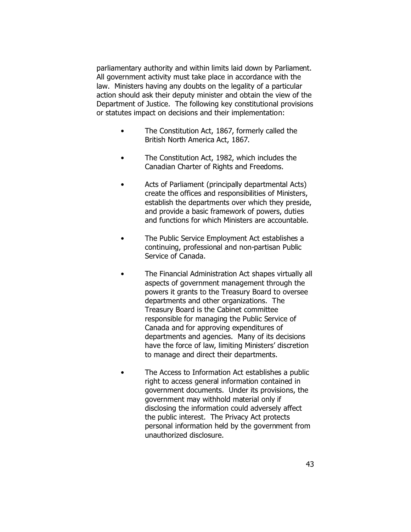parliamentary authority and within limits laid down by Parliament. All government activity must take place in accordance with the law. Ministers having any doubts on the legality of a particular action should ask their deputy minister and obtain the view of the Department of Justice. The following key constitutional provisions or statutes impact on decisions and their implementation:

- The *Constitution Act, 1867*, formerly called the *British North America Act, 1867*.
- The *Constitution Act, 1982*, which includes the *Canadian Charter of Rights and Freedoms*.
- *Acts of Parliament* (principally departmental Acts) create the offices and responsibilities of Ministers, establish the departments over which they preside, and provide a basic framework of powers, duties and functions for which Ministers are accountable.
- The *Public Service Employment Act* establishes a continuing, professional and non-partisan Public Service of Canada.
- The *Financial Administration Act* shapes virtually all aspects of government management through the powers it grants to the Treasury Board to oversee departments and other organizations. The Treasury Board is the Cabinet committee responsible for managing the Public Service of Canada and for approving expenditures of departments and agencies. Many of its decisions have the force of law, limiting Ministers' discretion to manage and direct their departments.
- The *Access to Information Act* establishes a public right to access general information contained in government documents. Under its provisions, the government may withhold material only if disclosing the information could adversely affect the public interest. The *Privacy Act* protects personal information held by the government from unauthorized disclosure.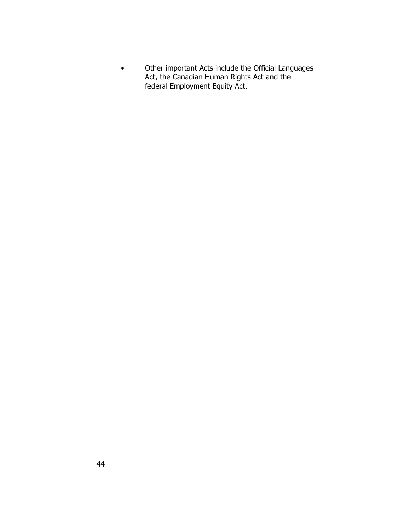• Other important Acts include the *Official Languages Act,* the *Canadian Human Rights Act* and the federal *Employment Equity Act*.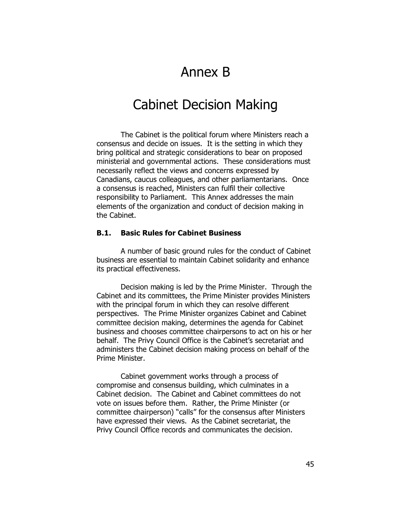## Annex B

### Cabinet Decision Making

The Cabinet is the political forum where Ministers reach a consensus and decide on issues. It is the setting in which they bring political and strategic considerations to bear on proposed ministerial and governmental actions. These considerations must necessarily reflect the views and concerns expressed by Canadians, caucus colleagues, and other parliamentarians. Once a consensus is reached, Ministers can fulfil their collective responsibility to Parliament. This Annex addresses the main elements of the organization and conduct of decision making in the Cabinet.

### **B.1. Basic Rules for Cabinet Business**

A number of basic ground rules for the conduct of Cabinet business are essential to maintain Cabinet solidarity and enhance its practical effectiveness.

Decision making is *led* by the Prime Minister. Through the Cabinet and its committees, the Prime Minister provides Ministers with the principal forum in which they can resolve different perspectives. The Prime Minister *organizes* Cabinet and Cabinet committee decision making, determines the agenda for Cabinet business and chooses committee chairpersons to act on his or her behalf. The Privy Council Office is the Cabinet's secretariat and administers the Cabinet decision making process on behalf of the Prime Minister.

Cabinet government works through a process of compromise and consensus building, which culminates in a Cabinet decision. The Cabinet and Cabinet committees do not vote on issues before them. Rather, the Prime Minister (or committee chairperson) "calls" for the consensus after Ministers have expressed their views. As the Cabinet secretariat, the Privy Council Office records and communicates the decision.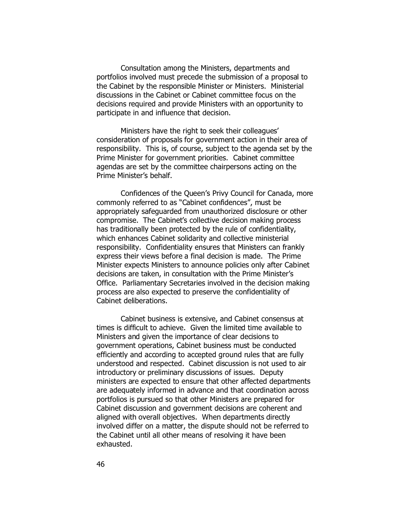Consultation among the Ministers, departments and portfolios involved *must precede* the submission of a proposal to the Cabinet by the responsible Minister or Ministers. Ministerial discussions in the Cabinet or Cabinet committee focus on the decisions required and provide Ministers with an opportunity to participate in and influence that decision.

Ministers have the right to seek their colleagues' consideration of proposals for government action in their area of responsibility. This is, of course, subject to the agenda set by the Prime Minister for government priorities. Cabinet committee agendas are set by the committee chairpersons acting on the Prime Minister's behalf.

Confidences of the Queen's Privy Council for Canada, more commonly referred to as "Cabinet confidences", must be appropriately safeguarded from unauthorized disclosure or other compromise. The Cabinet's collective decision making process has traditionally been protected by the rule of confidentiality, which enhances Cabinet solidarity and collective ministerial responsibility. Confidentiality ensures that Ministers can frankly express their views before a final decision is made. The Prime Minister expects Ministers to announce policies only after Cabinet decisions are taken, in consultation with the Prime Minister's Office. Parliamentary Secretaries involved in the decision making process are also expected to preserve the confidentiality of Cabinet deliberations.

Cabinet business is extensive, and Cabinet consensus at times is difficult to achieve. Given the limited time available to Ministers and given the importance of clear decisions to government operations, Cabinet business must be conducted efficiently and according to accepted ground rules that are fully understood and respected. Cabinet discussion is not used to air introductory or preliminary discussions of issues. Deputy ministers are expected to ensure that other affected departments are adequately informed in advance and that coordination across portfolios is pursued so that other Ministers are prepared for Cabinet discussion and government decisions are coherent and aligned with overall objectives. When departments directly involved differ on a matter, the dispute should not be referred to the Cabinet until all other means of resolving it have been exhausted.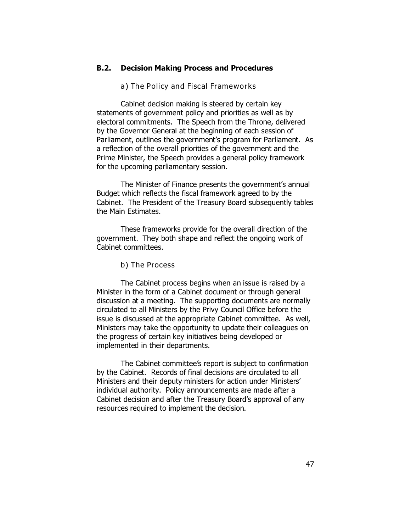#### **B.2. Decision Making Process and Procedures**

*a) The Policy and Fiscal Frameworks*

Cabinet decision making is steered by certain key statements of government policy and priorities as well as by electoral commitments. The Speech from the Throne, delivered by the Governor General at the beginning of each session of Parliament, outlines the government's program for Parliament. As a reflection of the overall priorities of the government and the Prime Minister, the Speech provides a general *policy framework* for the upcoming parliamentary session.

The Minister of Finance presents the government's annual Budget which reflects the *fiscal framework* agreed to by the Cabinet. The President of the Treasury Board subsequently tables the Main Estimates.

These frameworks provide for the overall direction of the government. They both shape and reflect the ongoing work of Cabinet committees.

*b) The Process*

The Cabinet process begins when an issue is raised by a Minister in the form of a Cabinet document or through general discussion at a meeting. The supporting documents are normally circulated to all Ministers by the Privy Council Office before the issue is discussed at the appropriate Cabinet committee. As well, Ministers may take the opportunity to update their colleagues on the progress of certain key initiatives being developed or implemented in their departments.

The Cabinet committee's report is subject to confirmation by the Cabinet. Records of final decisions are circulated to all Ministers and their deputy ministers for action under Ministers' individual authority. *Policy announcements are made after a Cabinet decision and after the Treasury Board's approval of any resources required to implement the decision*.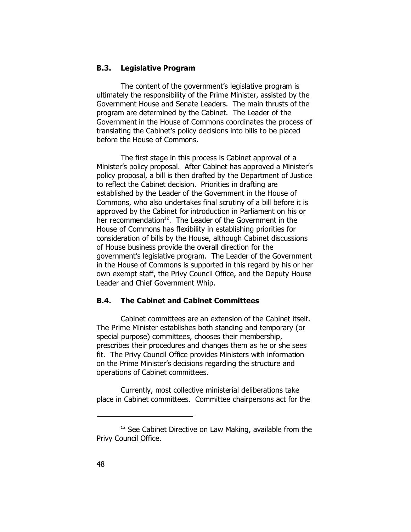#### **B.3. Legislative Program**

The content of the government's legislative program is ultimately the responsibility of the Prime Minister, assisted by the Government House and Senate Leaders. The main thrusts of the program are determined by the Cabinet. The Leader of the Government in the House of Commons coordinates the process of translating the Cabinet's policy decisions into bills to be placed before the House of Commons.

The first stage in this process is Cabinet approval of a Minister's policy proposal. After Cabinet has approved a Minister's policy proposal, a bill is then drafted by the Department of Justice to reflect the Cabinet decision. Priorities in drafting are established by the Leader of the Government in the House of Commons, who also undertakes final scrutiny of a bill before it is approved by the Cabinet for introduction in Parliament on his or her recommendation<sup>12</sup>. The Leader of the Government in the House of Commons has flexibility in establishing priorities for consideration of bills by the House, although Cabinet discussions of House business provide the overall direction for the government's legislative program. The Leader of the Government in the House of Commons is supported in this regard by his or her own exempt staff, the Privy Council Office, and the Deputy House Leader and Chief Government Whip.

### **B.4. The Cabinet and Cabinet Committees**

Cabinet committees are an extension of the Cabinet itself. The Prime Minister establishes both standing and temporary (or special purpose) committees, chooses their membership, prescribes their procedures and changes them as he or she sees fit. The Privy Council Office provides Ministers with information on the Prime Minister's decisions regarding the structure and operations of Cabinet committees.

Currently, most collective ministerial deliberations take place in Cabinet committees. Committee chairpersons act for the

<sup>12</sup> See *Cabinet Directive on Law Making*, available from the Privy Council Office.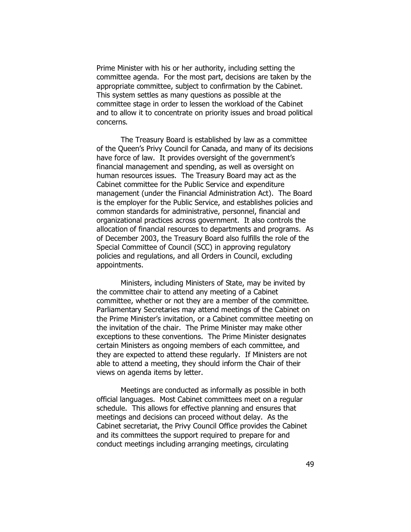Prime Minister with his or her authority, including setting the committee agenda. For the most part, decisions are taken by the appropriate committee, subject to confirmation by the Cabinet. This system settles as many questions as possible at the committee stage in order to lessen the workload of the Cabinet and to allow it to concentrate on priority issues and broad political concerns.

The Treasury Board is established by law as a committee of the Queen's Privy Council for Canada, and many of its decisions have force of law. It provides oversight of the government's financial management and spending, as well as oversight on human resources issues. The Treasury Board may act as the Cabinet committee for the Public Service and expenditure management (under the *Financial Administration Act*). The Board is the employer for the Public Service, and establishes policies and common standards for administrative, personnel, financial and organizational practices across government. It also controls the allocation of financial resources to departments and programs. As of December 2003, the Treasury Board also fulfills the role of the Special Committee of Council (SCC) in approving regulatory policies and regulations, and all Orders in Council, excluding appointments.

Ministers, including Ministers of State, may be invited by the committee chair to attend any meeting of a Cabinet committee, whether or not they are a member of the committee. Parliamentary Secretaries may attend meetings of the Cabinet on the Prime Minister's invitation, or a Cabinet committee meeting on the invitation of the chair. The Prime Minister may make other exceptions to these conventions. The Prime Minister designates certain Ministers as ongoing members of each committee, and they are expected to attend these regularly. If Ministers are not able to attend a meeting, they should inform the Chair of their views on agenda items by letter.

Meetings are conducted as informally as possible in both official languages. Most Cabinet committees meet on a regular schedule. This allows for effective planning and ensures that meetings and decisions can proceed without delay. As the Cabinet secretariat, the Privy Council Office provides the Cabinet and its committees the support required to prepare for and conduct meetings including arranging meetings, circulating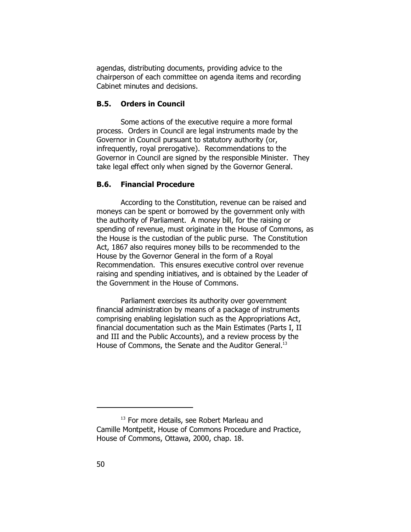agendas, distributing documents, providing advice to the chairperson of each committee on agenda items and recording Cabinet minutes and decisions.

### **B.5. Orders in Council**

Some actions of the executive require a more formal process. Orders in Council are legal instruments made by the Governor in Council pursuant to statutory authority (or, infrequently, royal prerogative). Recommendations to the Governor in Council are signed by the responsible Minister. They take legal effect only when signed by the Governor General.

### **B.6. Financial Procedure**

According to the Constitution, revenue can be raised and moneys can be spent or borrowed by the government only with the authority of Parliament. A money bill, for the raising or spending of revenue, must originate in the House of Commons, as the House is the custodian of the public purse. The *Constitution Act, 1867* also requires money bills to be recommended to the House by the Governor General in the form of a Royal Recommendation. This ensures executive control over revenue raising and spending initiatives, and is obtained by the Leader of the Government in the House of Commons.

Parliament exercises its authority over government financial administration by means of a package of instruments comprising enabling legislation such as the *Appropriations Act*, financial documentation such as the Main Estimates (Parts I, II and III and the Public Accounts), and a review process by the House of Commons, the Senate and the Auditor General.<sup>13</sup>

<sup>&</sup>lt;sup>13</sup> For more details, see Robert Marleau and Camille Montpetit, *House of Commons Procedure and Practice*, House of Commons, Ottawa, 2000, chap. 18.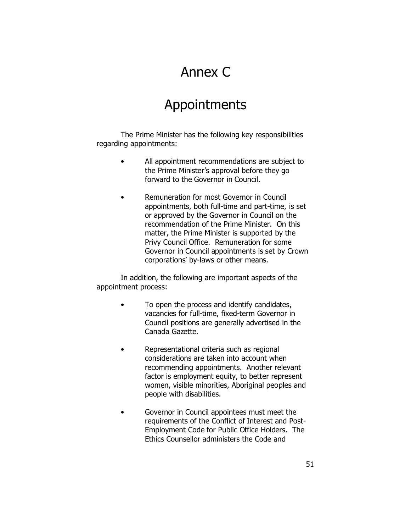## Annex C

## Appointments

The Prime Minister has the following key responsibilities regarding appointments:

- All appointment recommendations are *subject to the Prime Minister's approval* before they go forward to the Governor in Council.
- *Remuneration* for most Governor in Council appointments, both full-time and part-time, is set or approved by the Governor in Council on the recommendation of the Prime Minister. On this matter, the Prime Minister is supported by the Privy Council Office. Remuneration for some Governor in Council appointments is set by Crown corporations' by-laws or other means.

In addition, the following are important aspects of the appointment process:

- To open the process and identify candidates, vacancies for full-time, fixed-term Governor in Council positions are generally advertised in the *Canada Gazette*.
- Representational criteria such as regional considerations are taken into account when recommending appointments. Another relevant factor is employment equity, to better represent women, visible minorities, Aboriginal peoples and people with disabilities.
- Governor in Council appointees must meet the requirements of the *Conflict of Interest and Post-Employment Code for Public Office Holders*. The Ethics Counsellor administers the Code and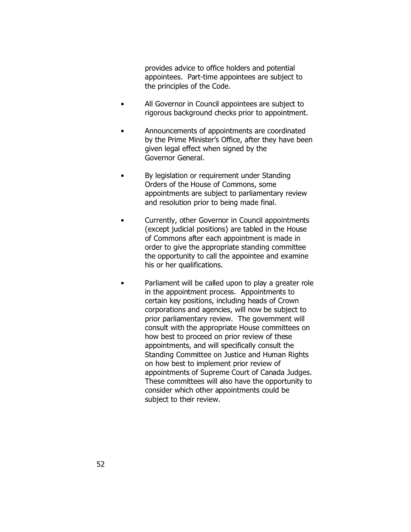provides advice to office holders and potential appointees. Part-time appointees are subject to the principles of the Code.

- All Governor in Council appointees are subject to rigorous *background checks* prior to appointment.
- *Announcements* of appointments are coordinated by the Prime Minister's Office, after they have been given legal effect when signed by the Governor General.
- By legislation or requirement under Standing Orders of the House of Commons, some appointments are subject to parliamentary review and resolution prior to being made final.
- Currently, other Governor in Council appointments (except judicial positions) are tabled in the House of Commons after each appointment is made in order to give the appropriate standing committee the opportunity to call the appointee and examine his or her qualifications.
- Parliament will be called upon to play a greater role in the appointment process. Appointments to certain key positions, including heads of Crown corporations and agencies, will now be subject to prior parliamentary review. The government will consult with the appropriate House committees on how best to proceed on prior review of these appointments, and will specifically consult the Standing Committee on Justice and Human Rights on how best to implement prior review of appointments of Supreme Court of Canada Judges. These committees will also have the opportunity to consider which other appointments could be subject to their review.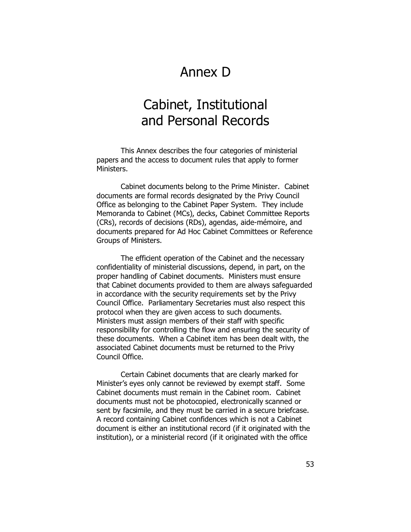## Annex D

## Cabinet, Institutional and Personal Records

This Annex describes the four categories of ministerial papers and the access to document rules that apply to former Ministers.

*Cabinet documents* belong to the Prime Minister. Cabinet documents are formal records designated by the Privy Council Office as belonging to the Cabinet Paper System. They include Memoranda to Cabinet (MCs), decks, Cabinet Committee Reports (CRs), records of decisions (RDs), agendas, aide-mémoire, and documents prepared for Ad Hoc Cabinet Committees or Reference Groups of Ministers.

The efficient operation of the Cabinet and the necessary confidentiality of ministerial discussions, depend, in part, on the proper handling of Cabinet documents. Ministers must ensure that Cabinet documents provided to them are always safeguarded in accordance with the security requirements set by the Privy Council Office. Parliamentary Secretaries must also respect this protocol when they are given access to such documents. Ministers must assign members of their staff with specific responsibility for controlling the flow and ensuring the security of these documents. When a Cabinet item has been dealt with, the associated Cabinet documents must be returned to the Privy Council Office.

Certain Cabinet documents that are clearly marked for Minister's eyes only cannot be reviewed by exempt staff. Some Cabinet documents must remain in the Cabinet room. Cabinet documents must not be photocopied, electronically scanned or sent by facsimile, and they must be carried in a secure briefcase. A record containing Cabinet confidences which is not a Cabinet document is either an institutional record (if it originated with the institution), or a ministerial record (if it originated with the office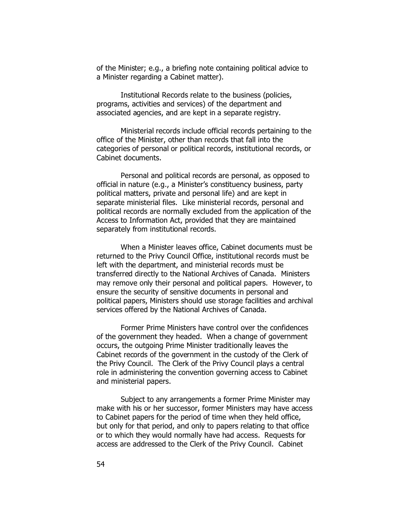of the Minister; e.g., a briefing note containing political advice to a Minister regarding a Cabinet matter).

*Institutional Records* relate to the business (policies, programs, activities and services) of the department and associated agencies, and are kept in a separate registry.

*Ministerial records* include official records pertaining to the office of the Minister, other than records that fall into the categories of personal or political records, institutional records, or Cabinet documents.

*Personal and political records* are personal, as opposed to official in nature (e.g., a Minister's constituency business, party political matters, private and personal life) and are kept in separate ministerial files. Like ministerial records, personal and political records are normally excluded from the application of the *Access to Information Act*, provided that they are maintained separately from institutional records.

When a Minister leaves office, Cabinet documents must be returned to the Privy Council Office, institutional records must be left with the department, and ministerial records must be transferred directly to the National Archives of Canada. Ministers may remove only their personal and political papers. However, to ensure the security of sensitive documents in personal and political papers, Ministers should use storage facilities and archival services offered by the National Archives of Canada.

Former Prime Ministers have control over the confidences of the government they headed. When a change of government occurs, the outgoing Prime Minister traditionally leaves the Cabinet records of the government in the custody of the Clerk of the Privy Council. The Clerk of the Privy Council plays a central role in administering the convention governing access to Cabinet and ministerial papers.

Subject to any arrangements a former Prime Minister may make with his or her successor, former Ministers may have access to Cabinet papers for the period of time when they held office, but only for that period, and only to papers relating to that office or to which they would normally have had access. Requests for access are addressed to the Clerk of the Privy Council. Cabinet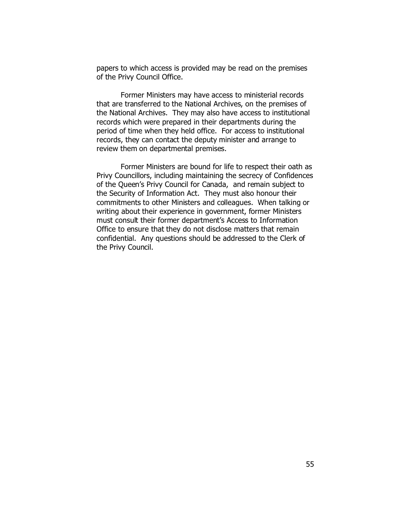papers to which access is provided may be read on the premises of the Privy Council Office.

Former Ministers may have access to ministerial records that are transferred to the National Archives, on the premises of the National Archives. They may also have access to institutional records which were prepared in their departments during the period of time when they held office. For access to institutional records, they can contact the deputy minister and arrange to review them on departmental premises.

Former Ministers are bound for life to respect their oath as Privy Councillors, including maintaining the secrecy of Confidences of the Queen's Privy Council for Canada, and remain subject to the *Security of Information Act*. They must also honour their commitments to other Ministers and colleagues. When talking or writing about their experience in government, former Ministers must consult their former department's Access to Information Office to ensure that they do not disclose matters that remain confidential. Any questions should be addressed to the Clerk of the Privy Council.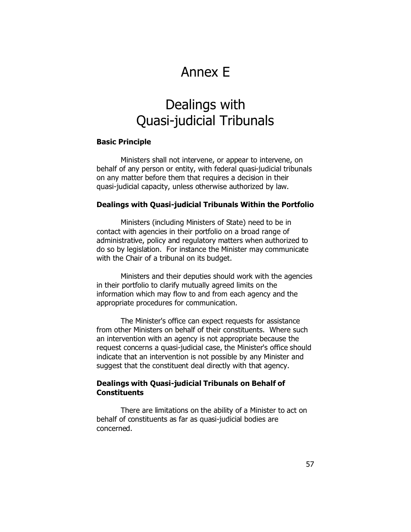## Annex E

## Dealings with Quasi-judicial Tribunals

#### **Basic Principle**

Ministers shall not intervene, or appear to intervene, on behalf of any person or entity, with federal quasi-judicial tribunals on any matter before them that requires a decision in their quasi-judicial capacity, unless otherwise authorized by law.

#### **Dealings with Quasi-judicial Tribunals Within the Portfolio**

Ministers (including Ministers of State) need to be in contact with agencies in their portfolio on a broad range of administrative, policy and regulatory matters when authorized to do so by legislation. For instance the Minister may communicate with the Chair of a tribunal on its budget.

Ministers and their deputies should work with the agencies in their portfolio to clarify mutually agreed limits on the information which may flow to and from each agency and the appropriate procedures for communication.

The Minister's office can expect requests for assistance from other Ministers on behalf of their constituents. Where such an intervention with an agency is not appropriate because the request concerns a quasi-judicial case, the Minister's office should indicate that an intervention is not possible by any Minister and suggest that the constituent deal directly with that agency.

#### **Dealings with Quasi-judicial Tribunals on Behalf of Constituents**

There are limitations on the ability of a Minister to act on behalf of constituents as far as quasi-judicial bodies are concerned.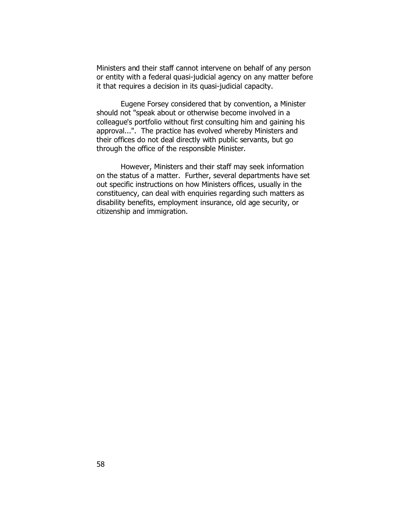Ministers and their staff cannot intervene on behalf of any person or entity with a federal quasi-judicial agency on any matter before it that requires a decision in its quasi-judicial capacity.

Eugene Forsey considered that by convention, a Minister should not "speak about or otherwise become involved in a colleague's portfolio without first consulting him and gaining his approval...". The practice has evolved whereby Ministers and their offices do not deal directly with public servants, but go through the office of the responsible Minister.

However, Ministers and their staff may seek information on the status of a matter. Further, several departments have set out specific instructions on how Ministers offices, usually in the constituency, can deal with enquiries regarding such matters as disability benefits, employment insurance, old age security, or citizenship and immigration.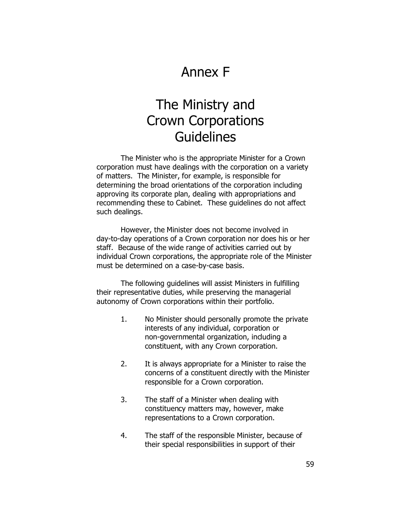## Annex F

## The Ministry and Crown Corporations Guidelines

The Minister who is the appropriate Minister for a Crown corporation must have dealings with the corporation on a variety of matters. The Minister, for example, is responsible for determining the broad orientations of the corporation including approving its corporate plan, dealing with appropriations and recommending these to Cabinet. These guidelines do not affect such dealings.

However, the Minister does not become involved in day-to-day operations of a Crown corporation nor does his or her staff. Because of the wide range of activities carried out by individual Crown corporations, the appropriate role of the Minister must be determined on a case-by-case basis.

The following guidelines will assist Ministers in fulfilling their representative duties, while preserving the managerial autonomy of Crown corporations within their portfolio.

- 1. No Minister should personally promote the private interests of any individual, corporation or non-governmental organization, including a constituent, with any Crown corporation.
- 2. It is always appropriate for a Minister to raise the concerns of a constituent directly with the Minister responsible for a Crown corporation.
- 3. The staff of a Minister when dealing with constituency matters may, however, make representations to a Crown corporation.
- 4. The staff of the responsible Minister, because of their special responsibilities in support of their